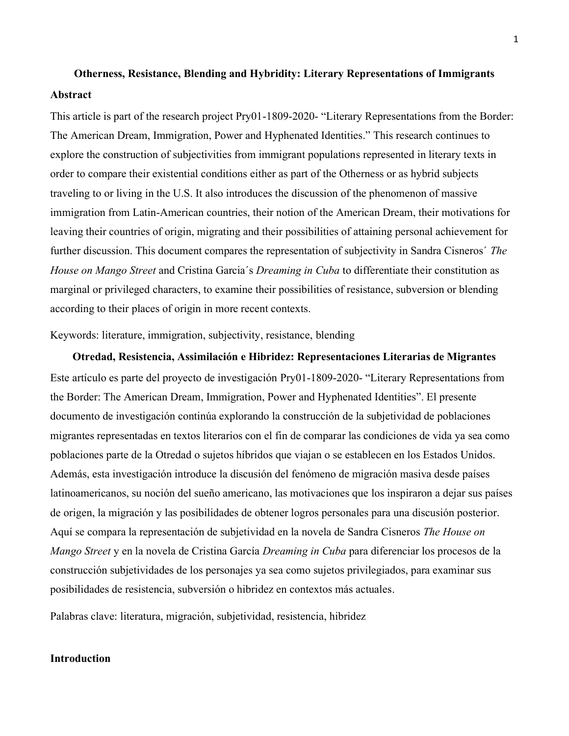# **Otherness, Resistance, Blending and Hybridity: Literary Representations of Immigrants Abstract**

This article is part of the research project Pry01-1809-2020- "Literary Representations from the Border: The American Dream, Immigration, Power and Hyphenated Identities." This research continues to explore the construction of subjectivities from immigrant populations represented in literary texts in order to compare their existential conditions either as part of the Otherness or as hybrid subjects traveling to or living in the U.S. It also introduces the discussion of the phenomenon of massive immigration from Latin-American countries, their notion of the American Dream, their motivations for leaving their countries of origin, migrating and their possibilities of attaining personal achievement for further discussion. This document compares the representation of subjectivity in Sandra Cisneros´ *The House on Mango Street* and Cristina Garcia´s *Dreaming in Cuba* to differentiate their constitution as marginal or privileged characters, to examine their possibilities of resistance, subversion or blending according to their places of origin in more recent contexts.

Keywords: literature, immigration, subjectivity, resistance, blending

**Otredad, Resistencia, Assimilación e Hibridez: Representaciones Literarias de Migrantes** Este artículo es parte del proyecto de investigación Pry01-1809-2020- "Literary Representations from the Border: The American Dream, Immigration, Power and Hyphenated Identities". El presente documento de investigación continúa explorando la construcción de la subjetividad de poblaciones migrantes representadas en textos literarios con el fin de comparar las condiciones de vida ya sea como poblaciones parte de la Otredad o sujetos híbridos que viajan o se establecen en los Estados Unidos. Además, esta investigación introduce la discusión del fenómeno de migración masiva desde países latinoamericanos, su noción del sueño americano, las motivaciones que los inspiraron a dejar sus países de origen, la migración y las posibilidades de obtener logros personales para una discusión posterior. Aquí se compara la representación de subjetividad en la novela de Sandra Cisneros *The House on Mango Street* y en la novela de Cristina García *Dreaming in Cuba* para diferenciar los procesos de la construcción subjetividades de los personajes ya sea como sujetos privilegiados, para examinar sus posibilidades de resistencia, subversión o hibridez en contextos más actuales.

Palabras clave: literatura, migración, subjetividad, resistencia, hibridez

#### **Introduction**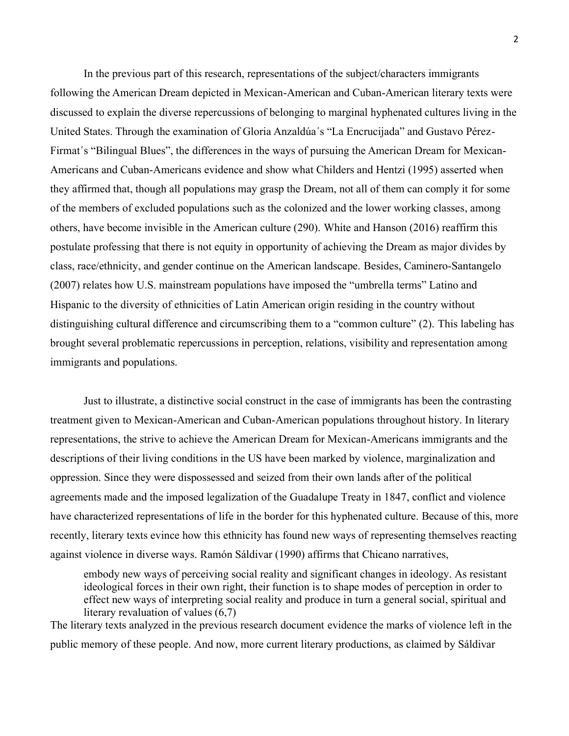In the previous part of this research, representations of the subject/characters immigrants following the American Dream depicted in Mexican-American and Cuban-American literary texts were discussed to explain the diverse repercussions of belonging to marginal hyphenated cultures living in the United States. Through the examination of Gloria Anzaldúa´s "La Encrucijada" and Gustavo Pérez-Firmat´s "Bilingual Blues", the differences in the ways of pursuing the American Dream for Mexican-Americans and Cuban-Americans evidence and show what Childers and Hentzi (1995) asserted when they affirmed that, though all populations may grasp the Dream, not all of them can comply it for some of the members of excluded populations such as the colonized and the lower working classes, among others, have become invisible in the American culture (290). White and Hanson (2016) reaffirm this postulate professing that there is not equity in opportunity of achieving the Dream as major divides by class, race/ethnicity, and gender continue on the American landscape. Besides, Caminero-Santangelo (2007) relates how U.S. mainstream populations have imposed the "umbrella terms" Latino and Hispanic to the diversity of ethnicities of Latin American origin residing in the country without distinguishing cultural difference and circumscribing them to a "common culture" (2). This labeling has brought several problematic repercussions in perception, relations, visibility and representation among immigrants and populations.

Just to illustrate, a distinctive social construct in the case of immigrants has been the contrasting treatment given to Mexican-American and Cuban-American populations throughout history. In literary representations, the strive to achieve the American Dream for Mexican-Americans immigrants and the descriptions of their living conditions in the US have been marked by violence, marginalization and oppression. Since they were dispossessed and seized from their own lands after of the political agreements made and the imposed legalization of the Guadalupe Treaty in 1847, conflict and violence have characterized representations of life in the border for this hyphenated culture. Because of this, more recently, literary texts evince how this ethnicity has found new ways of representing themselves reacting against violence in diverse ways. Ramón Sáldivar (1990) affirms that Chicano narratives,

embody new ways of perceiving social reality and significant changes in ideology. As resistant ideological forces in their own right, their function is to shape modes of perception in order to effect new ways of interpreting social reality and produce in turn a general social, spiritual and literary revaluation of values (6,7)

The literary texts analyzed in the previous research document evidence the marks of violence left in the public memory of these people. And now, more current literary productions, as claimed by Sáldivar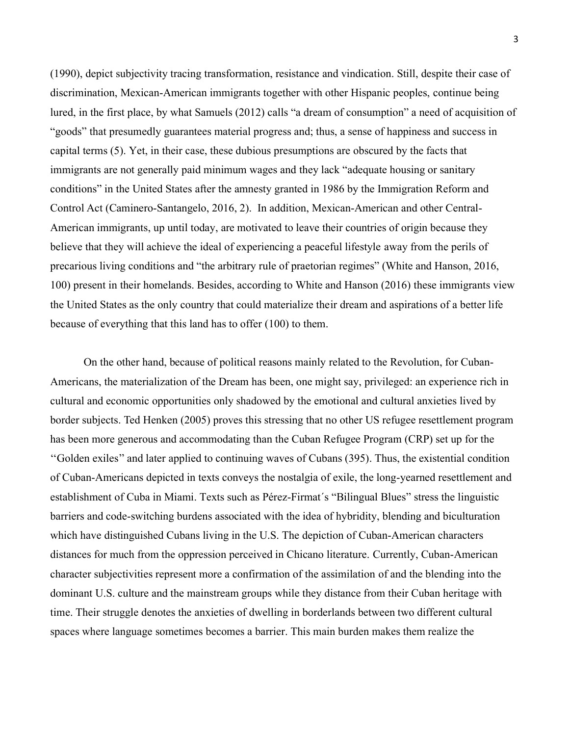(1990), depict subjectivity tracing transformation, resistance and vindication. Still, despite their case of discrimination, Mexican-American immigrants together with other Hispanic peoples, continue being lured, in the first place, by what Samuels (2012) calls "a dream of consumption" a need of acquisition of "goods" that presumedly guarantees material progress and; thus, a sense of happiness and success in capital terms (5). Yet, in their case, these dubious presumptions are obscured by the facts that immigrants are not generally paid minimum wages and they lack "adequate housing or sanitary conditions" in the United States after the amnesty granted in 1986 by the Immigration Reform and Control Act (Caminero-Santangelo, 2016, 2). In addition, Mexican-American and other Central-American immigrants, up until today, are motivated to leave their countries of origin because they believe that they will achieve the ideal of experiencing a peaceful lifestyle away from the perils of precarious living conditions and "the arbitrary rule of praetorian regimes" (White and Hanson, 2016, 100) present in their homelands. Besides, according to White and Hanson (2016) these immigrants view the United States as the only country that could materialize their dream and aspirations of a better life because of everything that this land has to offer (100) to them.

On the other hand, because of political reasons mainly related to the Revolution, for Cuban-Americans, the materialization of the Dream has been, one might say, privileged: an experience rich in cultural and economic opportunities only shadowed by the emotional and cultural anxieties lived by border subjects. Ted Henken (2005) proves this stressing that no other US refugee resettlement program has been more generous and accommodating than the Cuban Refugee Program (CRP) set up for the ''Golden exiles'' and later applied to continuing waves of Cubans (395). Thus, the existential condition of Cuban-Americans depicted in texts conveys the nostalgia of exile, the long-yearned resettlement and establishment of Cuba in Miami. Texts such as Pérez-Firmat´s "Bilingual Blues" stress the linguistic barriers and code-switching burdens associated with the idea of hybridity, blending and biculturation which have distinguished Cubans living in the U.S. The depiction of Cuban-American characters distances for much from the oppression perceived in Chicano literature. Currently, Cuban-American character subjectivities represent more a confirmation of the assimilation of and the blending into the dominant U.S. culture and the mainstream groups while they distance from their Cuban heritage with time. Their struggle denotes the anxieties of dwelling in borderlands between two different cultural spaces where language sometimes becomes a barrier. This main burden makes them realize the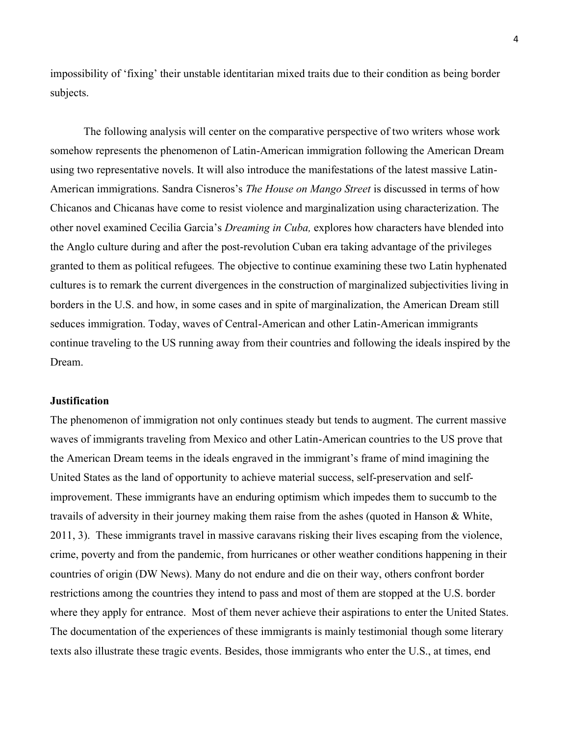impossibility of 'fixing' their unstable identitarian mixed traits due to their condition as being border subjects.

The following analysis will center on the comparative perspective of two writers whose work somehow represents the phenomenon of Latin-American immigration following the American Dream using two representative novels. It will also introduce the manifestations of the latest massive Latin-American immigrations. Sandra Cisneros's *The House on Mango Street* is discussed in terms of how Chicanos and Chicanas have come to resist violence and marginalization using characterization. The other novel examined Cecilia Garcia's *Dreaming in Cuba,* explores how characters have blended into the Anglo culture during and after the post-revolution Cuban era taking advantage of the privileges granted to them as political refugees*.* The objective to continue examining these two Latin hyphenated cultures is to remark the current divergences in the construction of marginalized subjectivities living in borders in the U.S. and how, in some cases and in spite of marginalization, the American Dream still seduces immigration. Today, waves of Central-American and other Latin-American immigrants continue traveling to the US running away from their countries and following the ideals inspired by the Dream.

### **Justification**

The phenomenon of immigration not only continues steady but tends to augment. The current massive waves of immigrants traveling from Mexico and other Latin-American countries to the US prove that the American Dream teems in the ideals engraved in the immigrant's frame of mind imagining the United States as the land of opportunity to achieve material success, self-preservation and selfimprovement. These immigrants have an enduring optimism which impedes them to succumb to the travails of adversity in their journey making them raise from the ashes (quoted in Hanson & White, 2011, 3). These immigrants travel in massive caravans risking their lives escaping from the violence, crime, poverty and from the pandemic, from hurricanes or other weather conditions happening in their countries of origin (DW News). Many do not endure and die on their way, others confront border restrictions among the countries they intend to pass and most of them are stopped at the U.S. border where they apply for entrance. Most of them never achieve their aspirations to enter the United States. The documentation of the experiences of these immigrants is mainly testimonial though some literary texts also illustrate these tragic events. Besides, those immigrants who enter the U.S., at times, end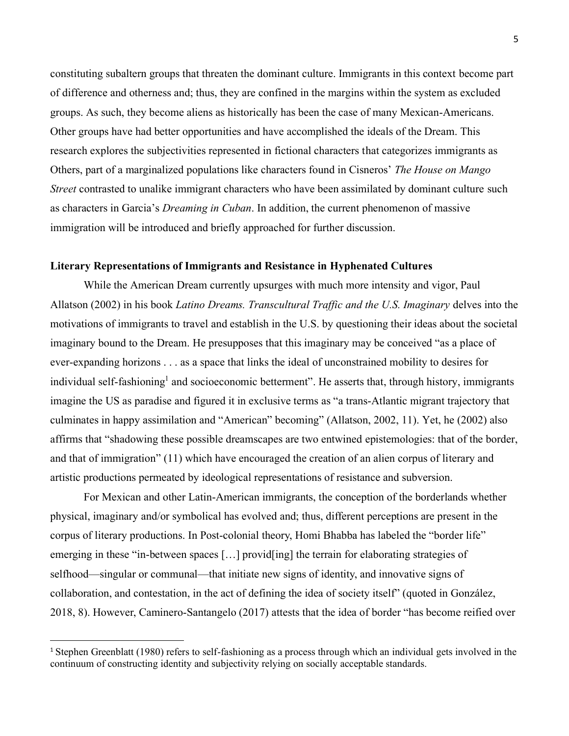constituting subaltern groups that threaten the dominant culture. Immigrants in this context become part of difference and otherness and; thus, they are confined in the margins within the system as excluded groups. As such, they become aliens as historically has been the case of many Mexican-Americans. Other groups have had better opportunities and have accomplished the ideals of the Dream. This research explores the subjectivities represented in fictional characters that categorizes immigrants as Others, part of a marginalized populations like characters found in Cisneros' *The House on Mango Street* contrasted to unalike immigrant characters who have been assimilated by dominant culture such as characters in Garcia's *Dreaming in Cuban*. In addition, the current phenomenon of massive immigration will be introduced and briefly approached for further discussion.

## **Literary Representations of Immigrants and Resistance in Hyphenated Cultures**

While the American Dream currently upsurges with much more intensity and vigor, Paul Allatson (2002) in his book *Latino Dreams. Transcultural Traffic and the U.S. Imaginary* delves into the motivations of immigrants to travel and establish in the U.S. by questioning their ideas about the societal imaginary bound to the Dream. He presupposes that this imaginary may be conceived "as a place of ever-expanding horizons . . . as a space that links the ideal of unconstrained mobility to desires for individual self-fashioning<sup>1</sup> and socioeconomic betterment". He asserts that, through history, immigrants imagine the US as paradise and figured it in exclusive terms as "a trans-Atlantic migrant trajectory that culminates in happy assimilation and "American" becoming" (Allatson, 2002, 11). Yet, he (2002) also affirms that "shadowing these possible dreamscapes are two entwined epistemologies: that of the border, and that of immigration" (11) which have encouraged the creation of an alien corpus of literary and artistic productions permeated by ideological representations of resistance and subversion.

For Mexican and other Latin-American immigrants, the conception of the borderlands whether physical, imaginary and/or symbolical has evolved and; thus, different perceptions are present in the corpus of literary productions. In Post-colonial theory, Homi Bhabba has labeled the "border life" emerging in these "in-between spaces [...] provid[ing] the terrain for elaborating strategies of selfhood—singular or communal—that initiate new signs of identity, and innovative signs of collaboration, and contestation, in the act of defining the idea of society itself" (quoted in González, 2018, 8). However, Caminero-Santangelo (2017) attests that the idea of border "has become reified over

<sup>1</sup> Stephen Greenblatt (1980) refers to self-fashioning as a process through which an individual gets involved in the continuum of constructing identity and subjectivity relying on socially acceptable standards.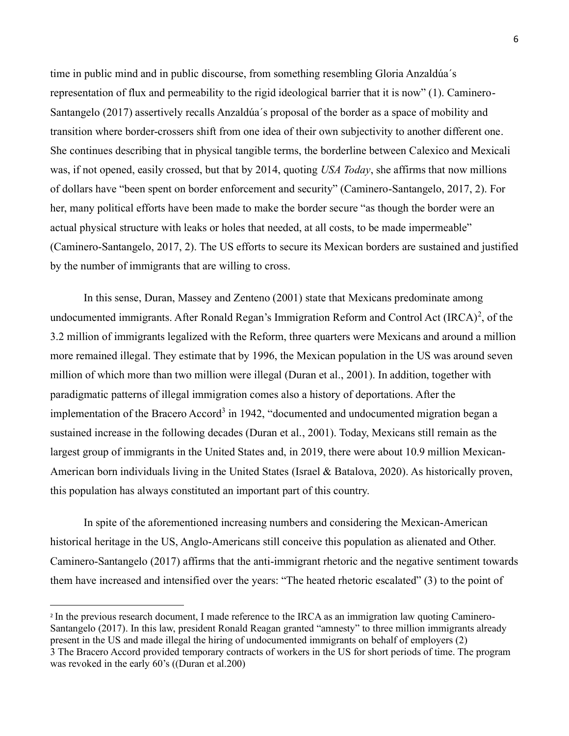time in public mind and in public discourse, from something resembling Gloria Anzaldúa´s representation of flux and permeability to the rigid ideological barrier that it is now" (1). Caminero-Santangelo (2017) assertively recalls Anzaldúa´s proposal of the border as a space of mobility and transition where border-crossers shift from one idea of their own subjectivity to another different one. She continues describing that in physical tangible terms, the borderline between Calexico and Mexicali was, if not opened, easily crossed, but that by 2014, quoting *USA Today*, she affirms that now millions of dollars have "been spent on border enforcement and security" (Caminero-Santangelo, 2017, 2). For her, many political efforts have been made to make the border secure "as though the border were an actual physical structure with leaks or holes that needed, at all costs, to be made impermeable" (Caminero-Santangelo, 2017, 2). The US efforts to secure its Mexican borders are sustained and justified by the number of immigrants that are willing to cross.

In this sense, Duran, Massey and Zenteno (2001) state that Mexicans predominate among undocumented immigrants. After Ronald Regan's Immigration Reform and Control Act  $(IRCA)^2$ , of the 3.2 million of immigrants legalized with the Reform, three quarters were Mexicans and around a million more remained illegal. They estimate that by 1996, the Mexican population in the US was around seven million of which more than two million were illegal (Duran et al., 2001). In addition, together with paradigmatic patterns of illegal immigration comes also a history of deportations. After the implementation of the Bracero Accord<sup>3</sup> in 1942, "documented and undocumented migration began a sustained increase in the following decades (Duran et al., 2001). Today, Mexicans still remain as the largest group of immigrants in the United States and, in 2019, there were about 10.9 million Mexican-American born individuals living in the United States (Israel & Batalova, 2020). As historically proven, this population has always constituted an important part of this country.

In spite of the aforementioned increasing numbers and considering the Mexican-American historical heritage in the US, Anglo-Americans still conceive this population as alienated and Other. Caminero-Santangelo (2017) affirms that the anti-immigrant rhetoric and the negative sentiment towards them have increased and intensified over the years: "The heated rhetoric escalated" (3) to the point of

<sup>2</sup> In the previous research document, I made reference to the IRCA as an immigration law quoting Caminero-Santangelo (2017). In this law, president Ronald Reagan granted "amnesty" to three million immigrants already present in the US and made illegal the hiring of undocumented immigrants on behalf of employers (2) 3 The Bracero Accord provided temporary contracts of workers in the US for short periods of time. The program was revoked in the early 60's ((Duran et al.200)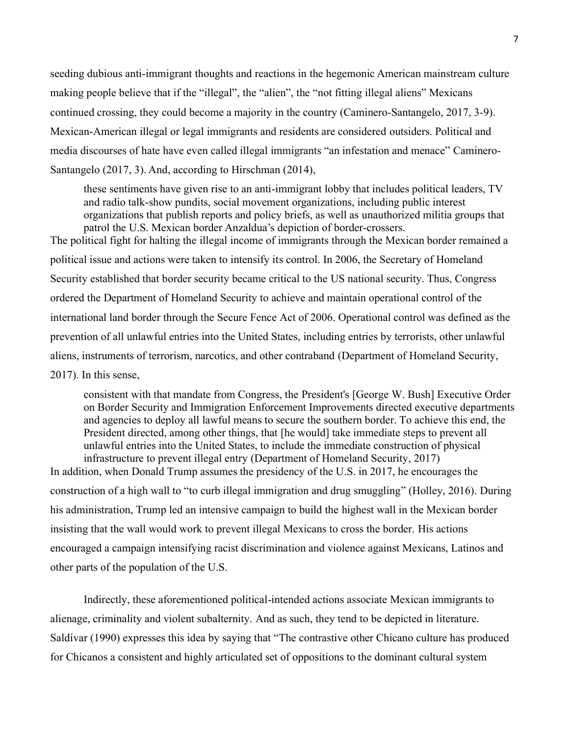seeding dubious anti-immigrant thoughts and reactions in the hegemonic American mainstream culture making people believe that if the "illegal", the "alien", the "not fitting illegal aliens" Mexicans continued crossing, they could become a majority in the country (Caminero-Santangelo, 2017, 3-9). Mexican-American illegal or legal immigrants and residents are considered outsiders. Political and media discourses of hate have even called illegal immigrants "an infestation and menace" Caminero-Santangelo (2017, 3). And, according to Hirschman (2014),

these sentiments have given rise to an anti-immigrant lobby that includes political leaders, TV and radio talk-show pundits, social movement organizations, including public interest organizations that publish reports and policy briefs, as well as unauthorized militia groups that patrol the U.S. Mexican border Anzaldua's depiction of border-crossers.

The political fight for halting the illegal income of immigrants through the Mexican border remained a political issue and actions were taken to intensify its control. In 2006, the Secretary of Homeland Security established that border security became critical to the US national security. Thus, Congress ordered the Department of Homeland Security to achieve and maintain operational control of the international land border through the Secure Fence Act of 2006. Operational control was defined as the prevention of all unlawful entries into the United States, including entries by terrorists, other unlawful aliens, instruments of terrorism, narcotics, and other contraband (Department of Homeland Security, 2017). In this sense,

consistent with that mandate from Congress, the President's [George W. Bush] Executive Order on Border Security and Immigration Enforcement Improvements directed executive departments and agencies to deploy all lawful means to secure the southern border. To achieve this end, the President directed, among other things, that [he would] take immediate steps to prevent all unlawful entries into the United States, to include the immediate construction of physical infrastructure to prevent illegal entry (Department of Homeland Security, 2017)

In addition, when Donald Trump assumes the presidency of the U.S. in 2017, he encourages the construction of a high wall to "to curb illegal immigration and drug smuggling" (Holley, 2016). During his administration, Trump led an intensive campaign to build the highest wall in the Mexican border insisting that the wall would work to prevent illegal Mexicans to cross the border. His actions encouraged a campaign intensifying racist discrimination and violence against Mexicans, Latinos and other parts of the population of the U.S.

Indirectly, these aforementioned political-intended actions associate Mexican immigrants to alienage, criminality and violent subalternity. And as such, they tend to be depicted in literature. Saldívar (1990) expresses this idea by saying that "The contrastive other Chicano culture has produced for Chicanos a consistent and highly articulated set of oppositions to the dominant cultural system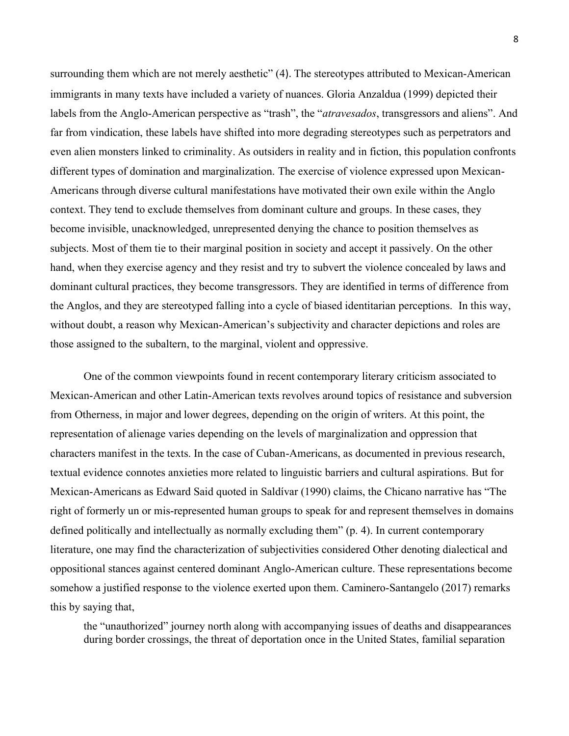surrounding them which are not merely aesthetic" (4). The stereotypes attributed to Mexican-American immigrants in many texts have included a variety of nuances. Gloria Anzaldua (1999) depicted their labels from the Anglo-American perspective as "trash", the "*atravesados*, transgressors and aliens". And far from vindication, these labels have shifted into more degrading stereotypes such as perpetrators and even alien monsters linked to criminality. As outsiders in reality and in fiction, this population confronts different types of domination and marginalization. The exercise of violence expressed upon Mexican-Americans through diverse cultural manifestations have motivated their own exile within the Anglo context. They tend to exclude themselves from dominant culture and groups. In these cases, they become invisible, unacknowledged, unrepresented denying the chance to position themselves as subjects. Most of them tie to their marginal position in society and accept it passively. On the other hand, when they exercise agency and they resist and try to subvert the violence concealed by laws and dominant cultural practices, they become transgressors. They are identified in terms of difference from the Anglos, and they are stereotyped falling into a cycle of biased identitarian perceptions. In this way, without doubt, a reason why Mexican-American's subjectivity and character depictions and roles are those assigned to the subaltern, to the marginal, violent and oppressive.

One of the common viewpoints found in recent contemporary literary criticism associated to Mexican-American and other Latin-American texts revolves around topics of resistance and subversion from Otherness, in major and lower degrees, depending on the origin of writers. At this point, the representation of alienage varies depending on the levels of marginalization and oppression that characters manifest in the texts. In the case of Cuban-Americans, as documented in previous research, textual evidence connotes anxieties more related to linguistic barriers and cultural aspirations. But for Mexican-Americans as Edward Said quoted in Saldívar (1990) claims, the Chicano narrative has "The right of formerly un or mis-represented human groups to speak for and represent themselves in domains defined politically and intellectually as normally excluding them" (p. 4). In current contemporary literature, one may find the characterization of subjectivities considered Other denoting dialectical and oppositional stances against centered dominant Anglo-American culture. These representations become somehow a justified response to the violence exerted upon them. Caminero-Santangelo (2017) remarks this by saying that,

the "unauthorized" journey north along with accompanying issues of deaths and disappearances during border crossings, the threat of deportation once in the United States, familial separation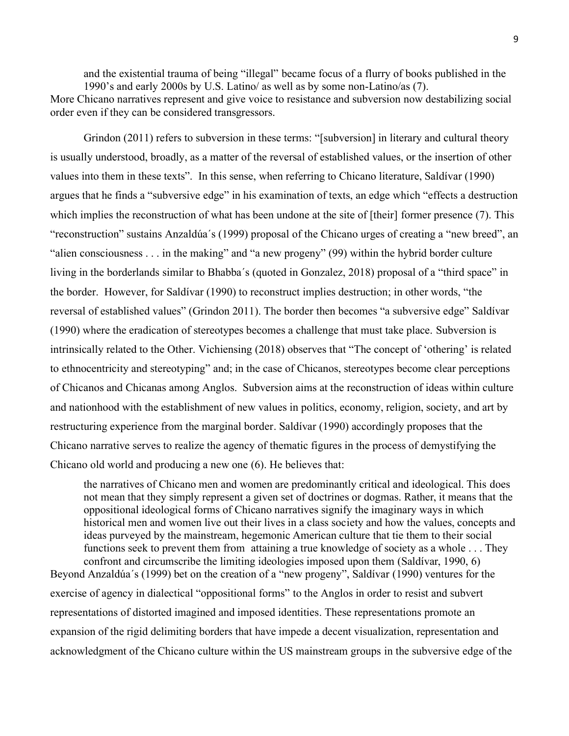and the existential trauma of being "illegal" became focus of a flurry of books published in the 1990's and early 2000s by U.S. Latino/ as well as by some non-Latino/as (7). More Chicano narratives represent and give voice to resistance and subversion now destabilizing social

order even if they can be considered transgressors.

Grindon (2011) refers to subversion in these terms: "[subversion] in literary and cultural theory is usually understood, broadly, as a matter of the reversal of established values, or the insertion of other values into them in these texts". In this sense, when referring to Chicano literature, Saldívar (1990) argues that he finds a "subversive edge" in his examination of texts, an edge which "effects a destruction which implies the reconstruction of what has been undone at the site of [their] former presence (7). This "reconstruction" sustains Anzaldúa´s (1999) proposal of the Chicano urges of creating a "new breed", an "alien consciousness . . . in the making" and "a new progeny" (99) within the hybrid border culture living in the borderlands similar to Bhabba´s (quoted in Gonzalez, 2018) proposal of a "third space" in the border. However, for Saldívar (1990) to reconstruct implies destruction; in other words, "the reversal of established values" (Grindon 2011). The border then becomes "a subversive edge" Saldívar (1990) where the eradication of stereotypes becomes a challenge that must take place. Subversion is intrinsically related to the Other. Vichiensing (2018) observes that "The concept of 'othering' is related to ethnocentricity and stereotyping" and; in the case of Chicanos, stereotypes become clear perceptions of Chicanos and Chicanas among Anglos. Subversion aims at the reconstruction of ideas within culture and nationhood with the establishment of new values in politics, economy, religion, society, and art by restructuring experience from the marginal border. Saldívar (1990) accordingly proposes that the Chicano narrative serves to realize the agency of thematic figures in the process of demystifying the Chicano old world and producing a new one (6). He believes that:

the narratives of Chicano men and women are predominantly critical and ideological. This does not mean that they simply represent a given set of doctrines or dogmas. Rather, it means that the oppositional ideological forms of Chicano narratives signify the imaginary ways in which historical men and women live out their lives in a class society and how the values, concepts and ideas purveyed by the mainstream, hegemonic American culture that tie them to their social functions seek to prevent them from attaining a true knowledge of society as a whole . . . They confront and circumscribe the limiting ideologies imposed upon them (Saldívar, 1990, 6)

Beyond Anzaldúa´s (1999) bet on the creation of a "new progeny", Saldívar (1990) ventures for the exercise of agency in dialectical "oppositional forms" to the Anglos in order to resist and subvert representations of distorted imagined and imposed identities. These representations promote an expansion of the rigid delimiting borders that have impede a decent visualization, representation and acknowledgment of the Chicano culture within the US mainstream groups in the subversive edge of the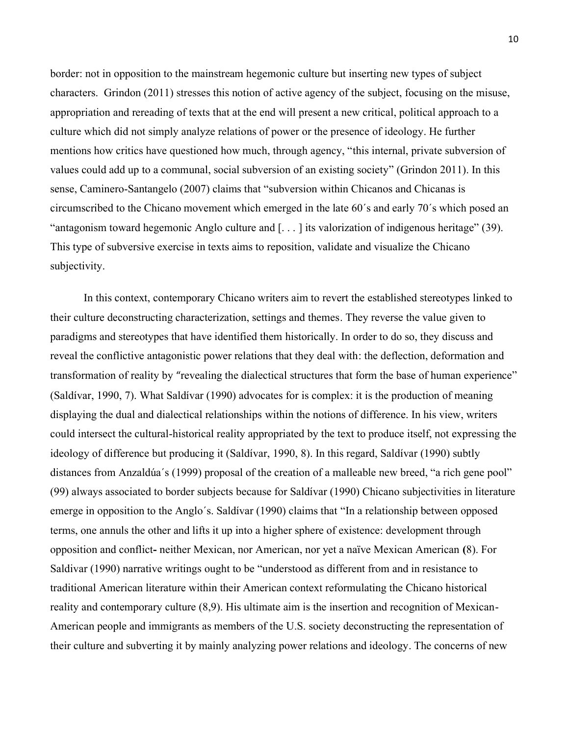border: not in opposition to the mainstream hegemonic culture but inserting new types of subject characters. Grindon (2011) stresses this notion of active agency of the subject, focusing on the misuse, appropriation and rereading of texts that at the end will present a new critical, political approach to a culture which did not simply analyze relations of power or the presence of ideology. He further mentions how critics have questioned how much, through agency, "this internal, private subversion of values could add up to a communal, social subversion of an existing society" (Grindon 2011). In this sense, Caminero-Santangelo (2007) claims that "subversion within Chicanos and Chicanas is circumscribed to the Chicano movement which emerged in the late 60´s and early 70´s which posed an "antagonism toward hegemonic Anglo culture and [. . . ] its valorization of indigenous heritage" (39). This type of subversive exercise in texts aims to reposition, validate and visualize the Chicano subjectivity.

In this context, contemporary Chicano writers aim to revert the established stereotypes linked to their culture deconstructing characterization, settings and themes. They reverse the value given to paradigms and stereotypes that have identified them historically. In order to do so, they discuss and reveal the conflictive antagonistic power relations that they deal with: the deflection, deformation and transformation of reality by "revealing the dialectical structures that form the base of human experience" (Saldívar, 1990, 7). What Saldívar (1990) advocates for is complex: it is the production of meaning displaying the dual and dialectical relationships within the notions of difference. In his view, writers could intersect the cultural-historical reality appropriated by the text to produce itself, not expressing the ideology of difference but producing it (Saldívar, 1990, 8). In this regard, Saldívar (1990) subtly distances from Anzaldúa´s (1999) proposal of the creation of a malleable new breed, "a rich gene pool" (99) always associated to border subjects because for Saldívar (1990) Chicano subjectivities in literature emerge in opposition to the Anglo´s. Saldívar (1990) claims that "In a relationship between opposed terms, one annuls the other and lifts it up into a higher sphere of existence: development through opposition and conflict**-** neither Mexican, nor American, nor yet a naïve Mexican American **(**8). For Saldivar (1990) narrative writings ought to be "understood as different from and in resistance to traditional American literature within their American context reformulating the Chicano historical reality and contemporary culture (8,9). His ultimate aim is the insertion and recognition of Mexican-American people and immigrants as members of the U.S. society deconstructing the representation of their culture and subverting it by mainly analyzing power relations and ideology. The concerns of new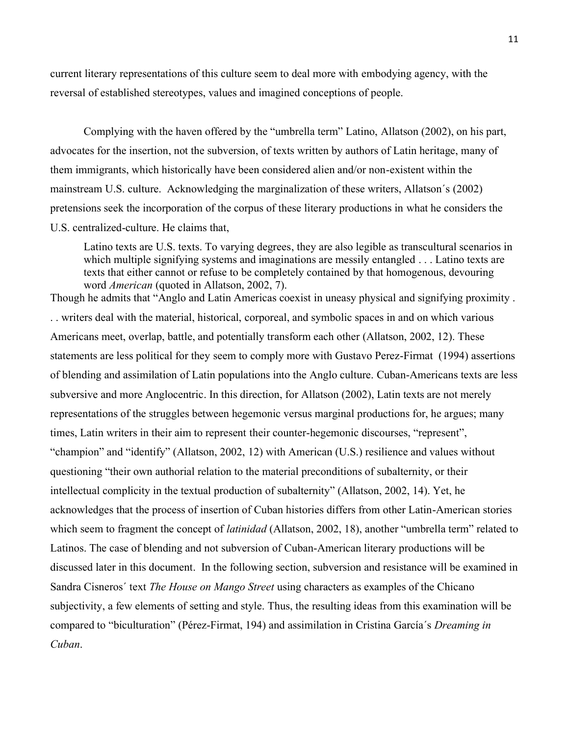current literary representations of this culture seem to deal more with embodying agency, with the reversal of established stereotypes, values and imagined conceptions of people.

Complying with the haven offered by the "umbrella term" Latino, Allatson (2002), on his part, advocates for the insertion, not the subversion, of texts written by authors of Latin heritage, many of them immigrants, which historically have been considered alien and/or non-existent within the mainstream U.S. culture. Acknowledging the marginalization of these writers, Allatson´s (2002) pretensions seek the incorporation of the corpus of these literary productions in what he considers the U.S. centralized-culture. He claims that,

Latino texts are U.S. texts. To varying degrees, they are also legible as transcultural scenarios in which multiple signifying systems and imaginations are messily entangled . . . Latino texts are texts that either cannot or refuse to be completely contained by that homogenous, devouring word *American* (quoted in Allatson, 2002, 7).

Though he admits that "Anglo and Latin Americas coexist in uneasy physical and signifying proximity . . . writers deal with the material, historical, corporeal, and symbolic spaces in and on which various Americans meet, overlap, battle, and potentially transform each other (Allatson, 2002, 12). These statements are less political for they seem to comply more with Gustavo Perez-Firmat (1994) assertions of blending and assimilation of Latin populations into the Anglo culture. Cuban-Americans texts are less subversive and more Anglocentric. In this direction, for Allatson (2002), Latin texts are not merely representations of the struggles between hegemonic versus marginal productions for, he argues; many times, Latin writers in their aim to represent their counter-hegemonic discourses, "represent", "champion" and "identify" (Allatson, 2002, 12) with American (U.S.) resilience and values without questioning "their own authorial relation to the material preconditions of subalternity, or their intellectual complicity in the textual production of subalternity" (Allatson, 2002, 14). Yet, he acknowledges that the process of insertion of Cuban histories differs from other Latin-American stories which seem to fragment the concept of *latinidad* (Allatson, 2002, 18), another "umbrella term" related to Latinos. The case of blending and not subversion of Cuban-American literary productions will be discussed later in this document. In the following section, subversion and resistance will be examined in Sandra Cisneros´ text *The House on Mango Street* using characters as examples of the Chicano subjectivity, a few elements of setting and style. Thus, the resulting ideas from this examination will be compared to "biculturation" (Pérez-Firmat, 194) and assimilation in Cristina García´s *Dreaming in Cuban*.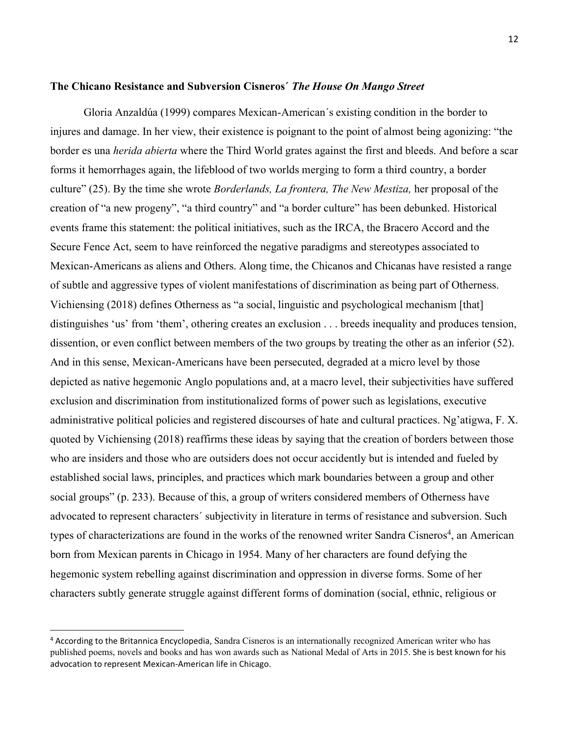#### **The Chicano Resistance and Subversion Cisneros´** *The House On Mango Street*

Gloria Anzaldúa (1999) compares Mexican-American´s existing condition in the border to injures and damage. In her view, their existence is poignant to the point of almost being agonizing: "the border es una *herida abierta* where the Third World grates against the first and bleeds. And before a scar forms it hemorrhages again, the lifeblood of two worlds merging to form a third country, a border culture" (25). By the time she wrote *Borderlands, La frontera, The New Mestiza,* her proposal of the creation of "a new progeny", "a third country" and "a border culture" has been debunked. Historical events frame this statement: the political initiatives, such as the IRCA, the Bracero Accord and the Secure Fence Act, seem to have reinforced the negative paradigms and stereotypes associated to Mexican-Americans as aliens and Others. Along time, the Chicanos and Chicanas have resisted a range of subtle and aggressive types of violent manifestations of discrimination as being part of Otherness. Vichiensing (2018) defines Otherness as "a social, linguistic and psychological mechanism [that] distinguishes 'us' from 'them', othering creates an exclusion . . . breeds inequality and produces tension, dissention, or even conflict between members of the two groups by treating the other as an inferior (52). And in this sense, Mexican-Americans have been persecuted, degraded at a micro level by those depicted as native hegemonic Anglo populations and, at a macro level, their subjectivities have suffered exclusion and discrimination from institutionalized forms of power such as legislations, executive administrative political policies and registered discourses of hate and cultural practices. Ng'atigwa, F. X. quoted by Vichiensing (2018) reaffirms these ideas by saying that the creation of borders between those who are insiders and those who are outsiders does not occur accidently but is intended and fueled by established social laws, principles, and practices which mark boundaries between a group and other social groups" (p. 233). Because of this, a group of writers considered members of Otherness have advocated to represent characters´ subjectivity in literature in terms of resistance and subversion. Such types of characterizations are found in the works of the renowned writer Sandra Cisneros<sup>4</sup>, an American born from Mexican parents in Chicago in 1954. Many of her characters are found defying the hegemonic system rebelling against discrimination and oppression in diverse forms. Some of her characters subtly generate struggle against different forms of domination (social, ethnic, religious or

<sup>4</sup> According to the Britannica Encyclopedia, Sandra Cisneros is an internationally recognized American writer who has published poems, novels and books and has won awards such as [National Medal of Arts in 2015](https://www.britannica.com/art/National-Medal-of-Arts). She is best known for his advocation to represent Mexican-American life in Chicago.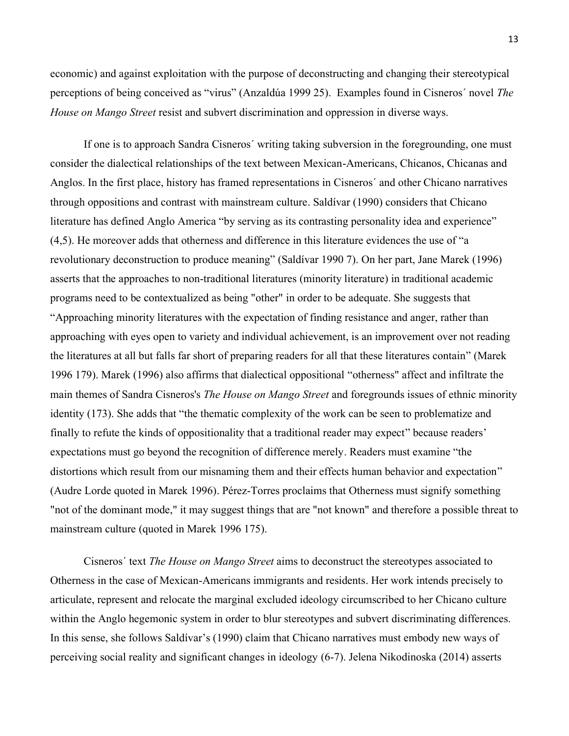economic) and against exploitation with the purpose of deconstructing and changing their stereotypical perceptions of being conceived as "virus" (Anzaldúa 1999 25). Examples found in Cisneros´ novel *The House on Mango Street* resist and subvert discrimination and oppression in diverse ways.

If one is to approach Sandra Cisneros´ writing taking subversion in the foregrounding, one must consider the dialectical relationships of the text between Mexican-Americans, Chicanos, Chicanas and Anglos. In the first place, history has framed representations in Cisneros´ and other Chicano narratives through oppositions and contrast with mainstream culture. Saldívar (1990) considers that Chicano literature has defined Anglo America "by serving as its contrasting personality idea and experience" (4,5). He moreover adds that otherness and difference in this literature evidences the use of "a revolutionary deconstruction to produce meaning" (Saldívar 1990 7). On her part, Jane Marek (1996) asserts that the approaches to non-traditional literatures (minority literature) in traditional academic programs need to be contextualized as being "other" in order to be adequate. She suggests that "Approaching minority literatures with the expectation of finding resistance and anger, rather than approaching with eyes open to variety and individual achievement, is an improvement over not reading the literatures at all but falls far short of preparing readers for all that these literatures contain" (Marek 1996 179). Marek (1996) also affirms that dialectical oppositional "otherness" affect and infiltrate the main themes of Sandra Cisneros's *The House on Mango Street* and foregrounds issues of ethnic minority identity (173). She adds that "the thematic complexity of the work can be seen to problematize and finally to refute the kinds of oppositionality that a traditional reader may expect" because readers' expectations must go beyond the recognition of difference merely. Readers must examine "the distortions which result from our misnaming them and their effects human behavior and expectation" (Audre Lorde quoted in Marek 1996). Pérez-Torres proclaims that Otherness must signify something "not of the dominant mode," it may suggest things that are "not known" and therefore a possible threat to mainstream culture (quoted in Marek 1996 175).

Cisneros´ text *The House on Mango Street* aims to deconstruct the stereotypes associated to Otherness in the case of Mexican-Americans immigrants and residents. Her work intends precisely to articulate, represent and relocate the marginal excluded ideology circumscribed to her Chicano culture within the Anglo hegemonic system in order to blur stereotypes and subvert discriminating differences. In this sense, she follows Saldívar's (1990) claim that Chicano narratives must embody new ways of perceiving social reality and significant changes in ideology (6-7). Jelena Nikodinoska (2014) asserts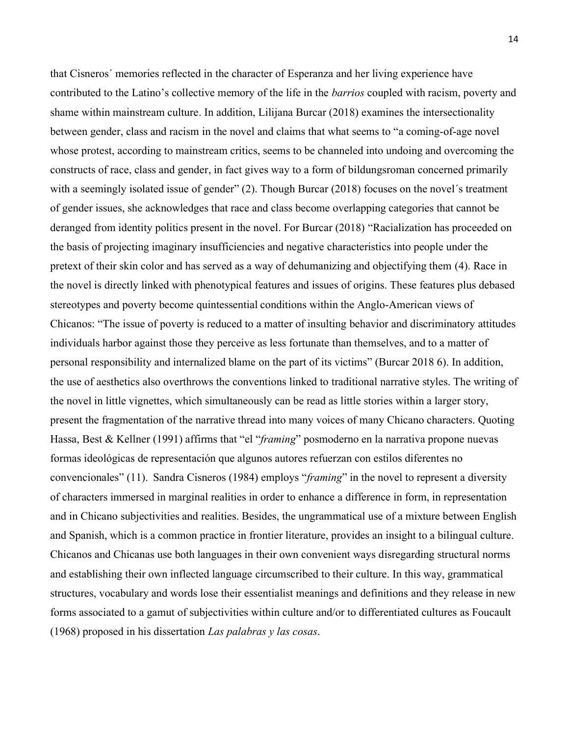that Cisneros´ memories reflected in the character of Esperanza and her living experience have contributed to the Latino's collective memory of the life in the *barrios* coupled with racism, poverty and shame within mainstream culture. In addition, Lilijana Burcar (2018) examines the intersectionality between gender, class and racism in the novel and claims that what seems to "a coming-of-age novel whose protest, according to mainstream critics, seems to be channeled into undoing and overcoming the constructs of race, class and gender, in fact gives way to a form of bildungsroman concerned primarily with a seemingly isolated issue of gender" (2). Though Burcar (2018) focuses on the novel's treatment of gender issues, she acknowledges that race and class become overlapping categories that cannot be deranged from identity politics present in the novel. For Burcar (2018) "Racialization has proceeded on the basis of projecting imaginary insufficiencies and negative characteristics into people under the pretext of their skin color and has served as a way of dehumanizing and objectifying them (4). Race in the novel is directly linked with phenotypical features and issues of origins. These features plus debased stereotypes and poverty become quintessential conditions within the Anglo-American views of Chicanos: "The issue of poverty is reduced to a matter of insulting behavior and discriminatory attitudes individuals harbor against those they perceive as less fortunate than themselves, and to a matter of personal responsibility and internalized blame on the part of its victims" (Burcar 2018 6). In addition, the use of aesthetics also overthrows the conventions linked to traditional narrative styles. The writing of the novel in little vignettes, which simultaneously can be read as little stories within a larger story, present the fragmentation of the narrative thread into many voices of many Chicano characters. Quoting Hassa, Best & Kellner (1991) affirms that "el "*framing*" posmoderno en la narrativa propone nuevas formas ideológicas de representación que algunos autores refuerzan con estilos diferentes no convencionales" (11). Sandra Cisneros (1984) employs "*framing*" in the novel to represent a diversity of characters immersed in marginal realities in order to enhance a difference in form, in representation and in Chicano subjectivities and realities. Besides, the ungrammatical use of a mixture between English and Spanish, which is a common practice in frontier literature, provides an insight to a bilingual culture. Chicanos and Chicanas use both languages in their own convenient ways disregarding structural norms and establishing their own inflected language circumscribed to their culture. In this way, grammatical structures, vocabulary and words lose their essentialist meanings and definitions and they release in new forms associated to a gamut of subjectivities within culture and/or to differentiated cultures as Foucault (1968) proposed in his dissertation *Las palabras y las cosas*.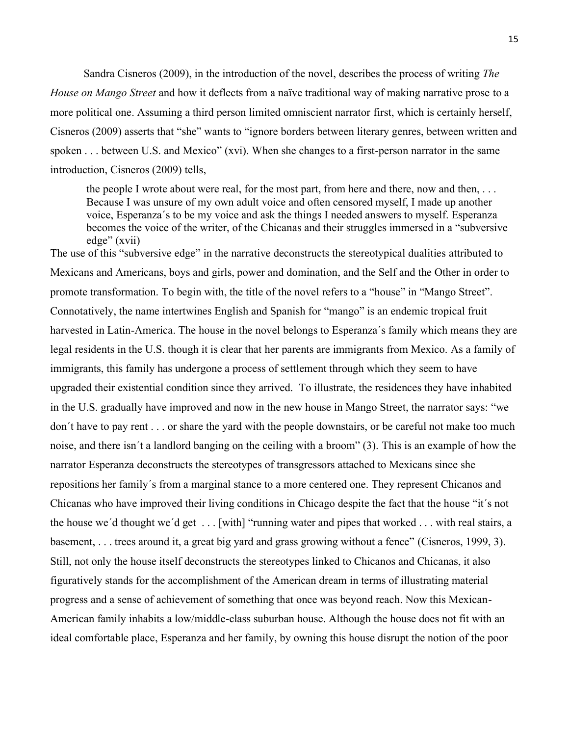Sandra Cisneros (2009), in the introduction of the novel, describes the process of writing *The House on Mango Street* and how it deflects from a naïve traditional way of making narrative prose to a more political one. Assuming a third person limited omniscient narrator first, which is certainly herself, Cisneros (2009) asserts that "she" wants to "ignore borders between literary genres, between written and spoken . . . between U.S. and Mexico" (xvi). When she changes to a first-person narrator in the same introduction, Cisneros (2009) tells,

the people I wrote about were real, for the most part, from here and there, now and then, . . . Because I was unsure of my own adult voice and often censored myself, I made up another voice, Esperanza´s to be my voice and ask the things I needed answers to myself. Esperanza becomes the voice of the writer, of the Chicanas and their struggles immersed in a "subversive edge" (xvii)

The use of this "subversive edge" in the narrative deconstructs the stereotypical dualities attributed to Mexicans and Americans, boys and girls, power and domination, and the Self and the Other in order to promote transformation. To begin with, the title of the novel refers to a "house" in "Mango Street". Connotatively, the name intertwines English and Spanish for "mango" is an endemic tropical fruit harvested in Latin-America. The house in the novel belongs to Esperanza´s family which means they are legal residents in the U.S. though it is clear that her parents are immigrants from Mexico. As a family of immigrants, this family has undergone a process of settlement through which they seem to have upgraded their existential condition since they arrived. To illustrate, the residences they have inhabited in the U.S. gradually have improved and now in the new house in Mango Street, the narrator says: "we don´t have to pay rent . . . or share the yard with the people downstairs, or be careful not make too much noise, and there isn´t a landlord banging on the ceiling with a broom" (3). This is an example of how the narrator Esperanza deconstructs the stereotypes of transgressors attached to Mexicans since she repositions her family´s from a marginal stance to a more centered one. They represent Chicanos and Chicanas who have improved their living conditions in Chicago despite the fact that the house "it´s not the house we´d thought we´d get . . . [with] "running water and pipes that worked . . . with real stairs, a basement, . . . trees around it, a great big yard and grass growing without a fence" (Cisneros, 1999, 3). Still, not only the house itself deconstructs the stereotypes linked to Chicanos and Chicanas, it also figuratively stands for the accomplishment of the American dream in terms of illustrating material progress and a sense of achievement of something that once was beyond reach. Now this Mexican-American family inhabits a low/middle-class suburban house. Although the house does not fit with an ideal comfortable place, Esperanza and her family, by owning this house disrupt the notion of the poor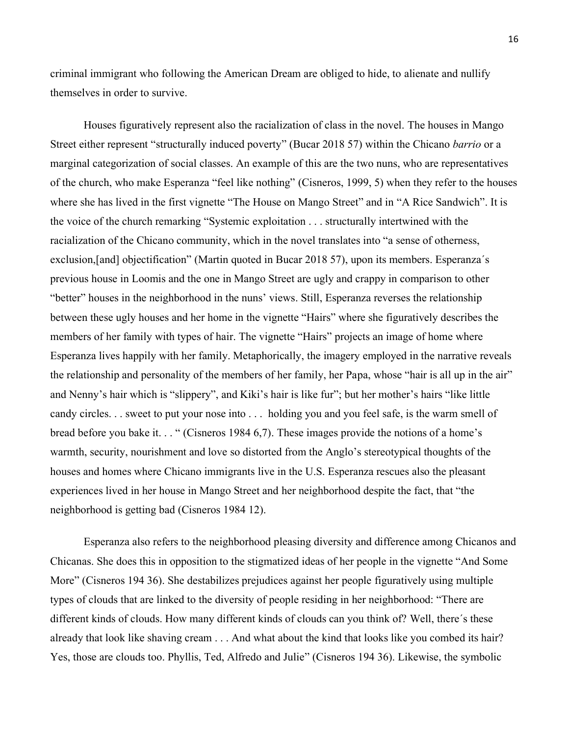criminal immigrant who following the American Dream are obliged to hide, to alienate and nullify themselves in order to survive.

Houses figuratively represent also the racialization of class in the novel. The houses in Mango Street either represent "structurally induced poverty" (Bucar 2018 57) within the Chicano *barrio* or a marginal categorization of social classes. An example of this are the two nuns, who are representatives of the church, who make Esperanza "feel like nothing" (Cisneros, 1999, 5) when they refer to the houses where she has lived in the first vignette "The House on Mango Street" and in "A Rice Sandwich". It is the voice of the church remarking "Systemic exploitation . . . structurally intertwined with the racialization of the Chicano community, which in the novel translates into "a sense of otherness, exclusion,[and] objectification" (Martin quoted in Bucar 2018 57), upon its members. Esperanza´s previous house in Loomis and the one in Mango Street are ugly and crappy in comparison to other "better" houses in the neighborhood in the nuns' views. Still, Esperanza reverses the relationship between these ugly houses and her home in the vignette "Hairs" where she figuratively describes the members of her family with types of hair. The vignette "Hairs" projects an image of home where Esperanza lives happily with her family. Metaphorically, the imagery employed in the narrative reveals the relationship and personality of the members of her family, her Papa, whose "hair is all up in the air" and Nenny's hair which is "slippery", and Kiki's hair is like fur"; but her mother's hairs "like little candy circles. . . sweet to put your nose into . . . holding you and you feel safe, is the warm smell of bread before you bake it. . . " (Cisneros 1984 6,7). These images provide the notions of a home's warmth, security, nourishment and love so distorted from the Anglo's stereotypical thoughts of the houses and homes where Chicano immigrants live in the U.S. Esperanza rescues also the pleasant experiences lived in her house in Mango Street and her neighborhood despite the fact, that "the neighborhood is getting bad (Cisneros 1984 12).

Esperanza also refers to the neighborhood pleasing diversity and difference among Chicanos and Chicanas. She does this in opposition to the stigmatized ideas of her people in the vignette "And Some More" (Cisneros 194 36). She destabilizes prejudices against her people figuratively using multiple types of clouds that are linked to the diversity of people residing in her neighborhood: "There are different kinds of clouds. How many different kinds of clouds can you think of? Well, there´s these already that look like shaving cream . . . And what about the kind that looks like you combed its hair? Yes, those are clouds too. Phyllis, Ted, Alfredo and Julie" (Cisneros 194 36). Likewise, the symbolic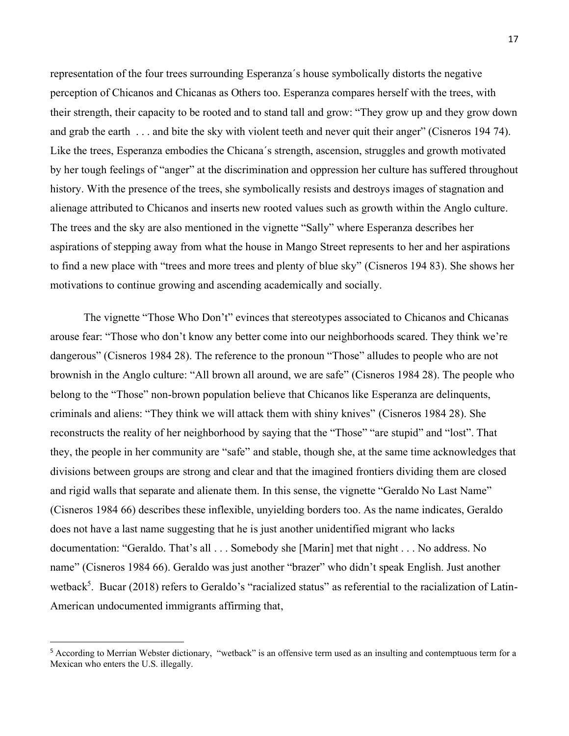representation of the four trees surrounding Esperanza´s house symbolically distorts the negative perception of Chicanos and Chicanas as Others too. Esperanza compares herself with the trees, with their strength, their capacity to be rooted and to stand tall and grow: "They grow up and they grow down and grab the earth . . . and bite the sky with violent teeth and never quit their anger" (Cisneros 194 74). Like the trees, Esperanza embodies the Chicana´s strength, ascension, struggles and growth motivated by her tough feelings of "anger" at the discrimination and oppression her culture has suffered throughout history. With the presence of the trees, she symbolically resists and destroys images of stagnation and alienage attributed to Chicanos and inserts new rooted values such as growth within the Anglo culture. The trees and the sky are also mentioned in the vignette "Sally" where Esperanza describes her aspirations of stepping away from what the house in Mango Street represents to her and her aspirations to find a new place with "trees and more trees and plenty of blue sky" (Cisneros 194 83). She shows her motivations to continue growing and ascending academically and socially.

The vignette "Those Who Don't" evinces that stereotypes associated to Chicanos and Chicanas arouse fear: "Those who don't know any better come into our neighborhoods scared. They think we're dangerous" (Cisneros 1984 28). The reference to the pronoun "Those" alludes to people who are not brownish in the Anglo culture: "All brown all around, we are safe" (Cisneros 1984 28). The people who belong to the "Those" non-brown population believe that Chicanos like Esperanza are delinquents, criminals and aliens: "They think we will attack them with shiny knives" (Cisneros 1984 28). She reconstructs the reality of her neighborhood by saying that the "Those" "are stupid" and "lost". That they, the people in her community are "safe" and stable, though she, at the same time acknowledges that divisions between groups are strong and clear and that the imagined frontiers dividing them are closed and rigid walls that separate and alienate them. In this sense, the vignette "Geraldo No Last Name" (Cisneros 1984 66) describes these inflexible, unyielding borders too. As the name indicates, Geraldo does not have a last name suggesting that he is just another unidentified migrant who lacks documentation: "Geraldo. That's all . . . Somebody she [Marin] met that night . . . No address. No name" (Cisneros 1984 66). Geraldo was just another "brazer" who didn't speak English. Just another wetback<sup>5</sup>. Bucar (2018) refers to Geraldo's "racialized status" as referential to the racialization of Latin-American undocumented immigrants affirming that,

<sup>5</sup> According to Merrian Webster dictionary, "wetback" is an offensive term used as an insulting and contemptuous term for a Mexican who enters the U.S. illegally.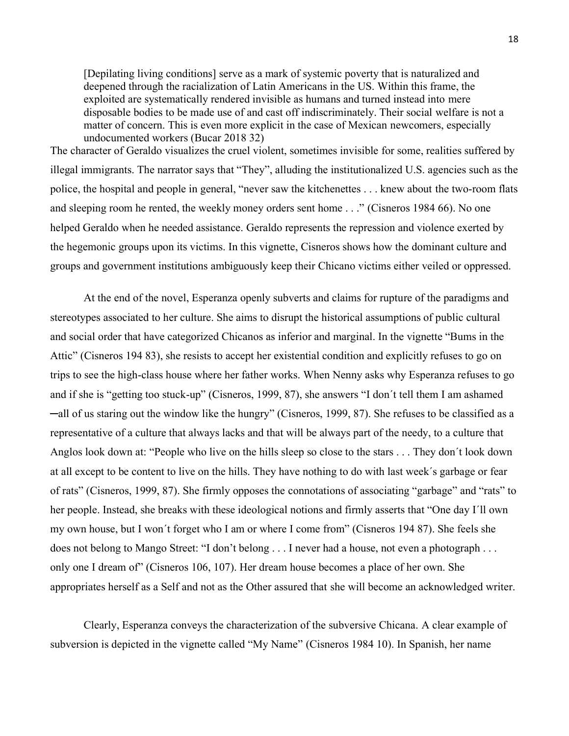[Depilating living conditions] serve as a mark of systemic poverty that is naturalized and deepened through the racialization of Latin Americans in the US. Within this frame, the exploited are systematically rendered invisible as humans and turned instead into mere disposable bodies to be made use of and cast off indiscriminately. Their social welfare is not a matter of concern. This is even more explicit in the case of Mexican newcomers, especially undocumented workers (Bucar 2018 32)

The character of Geraldo visualizes the cruel violent, sometimes invisible for some, realities suffered by illegal immigrants. The narrator says that "They", alluding the institutionalized U.S. agencies such as the police, the hospital and people in general, "never saw the kitchenettes . . . knew about the two-room flats and sleeping room he rented, the weekly money orders sent home . . ." (Cisneros 1984 66). No one helped Geraldo when he needed assistance. Geraldo represents the repression and violence exerted by the hegemonic groups upon its victims. In this vignette, Cisneros shows how the dominant culture and groups and government institutions ambiguously keep their Chicano victims either veiled or oppressed.

At the end of the novel, Esperanza openly subverts and claims for rupture of the paradigms and stereotypes associated to her culture. She aims to disrupt the historical assumptions of public cultural and social order that have categorized Chicanos as inferior and marginal. In the vignette "Bums in the Attic" (Cisneros 194 83), she resists to accept her existential condition and explicitly refuses to go on trips to see the high-class house where her father works. When Nenny asks why Esperanza refuses to go and if she is "getting too stuck-up" (Cisneros, 1999, 87), she answers "I don´t tell them I am ashamed ─all of us staring out the window like the hungry" (Cisneros, 1999, 87). She refuses to be classified as a representative of a culture that always lacks and that will be always part of the needy, to a culture that Anglos look down at: "People who live on the hills sleep so close to the stars . . . They don´t look down at all except to be content to live on the hills. They have nothing to do with last week´s garbage or fear of rats" (Cisneros, 1999, 87). She firmly opposes the connotations of associating "garbage" and "rats" to her people. Instead, she breaks with these ideological notions and firmly asserts that "One day I´ll own my own house, but I won´t forget who I am or where I come from" (Cisneros 194 87). She feels she does not belong to Mango Street: "I don't belong . . . I never had a house, not even a photograph . . . only one I dream of" (Cisneros 106, 107). Her dream house becomes a place of her own. She appropriates herself as a Self and not as the Other assured that she will become an acknowledged writer.

Clearly, Esperanza conveys the characterization of the subversive Chicana. A clear example of subversion is depicted in the vignette called "My Name" (Cisneros 1984 10). In Spanish, her name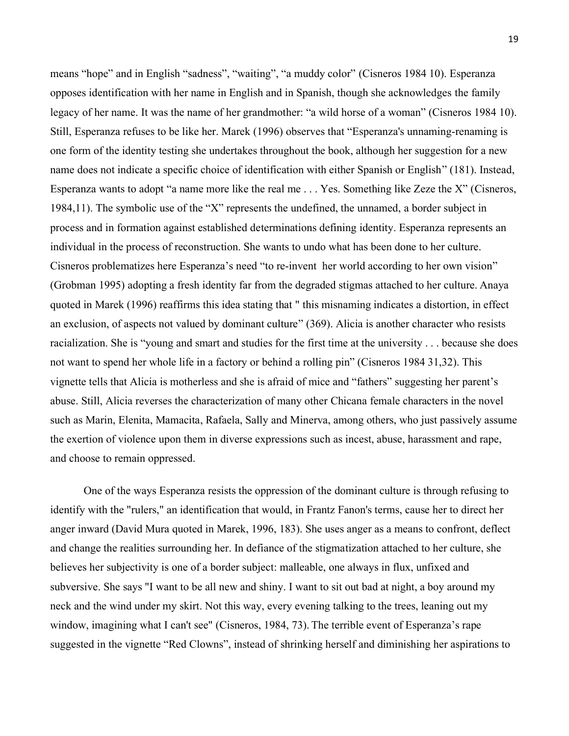means "hope" and in English "sadness", "waiting", "a muddy color" (Cisneros 1984 10). Esperanza opposes identification with her name in English and in Spanish, though she acknowledges the family legacy of her name. It was the name of her grandmother: "a wild horse of a woman" (Cisneros 1984 10). Still, Esperanza refuses to be like her. Marek (1996) observes that "Esperanza's unnaming-renaming is one form of the identity testing she undertakes throughout the book, although her suggestion for a new name does not indicate a specific choice of identification with either Spanish or English" (181). Instead, Esperanza wants to adopt "a name more like the real me . . . Yes. Something like Zeze the X" (Cisneros, 1984,11). The symbolic use of the "X" represents the undefined, the unnamed, a border subject in process and in formation against established determinations defining identity. Esperanza represents an individual in the process of reconstruction. She wants to undo what has been done to her culture. Cisneros problematizes here Esperanza's need "to re-invent her world according to her own vision" (Grobman 1995) adopting a fresh identity far from the degraded stigmas attached to her culture. Anaya quoted in Marek (1996) reaffirms this idea stating that " this misnaming indicates a distortion, in effect an exclusion, of aspects not valued by dominant culture" (369). Alicia is another character who resists racialization. She is "young and smart and studies for the first time at the university . . . because she does not want to spend her whole life in a factory or behind a rolling pin" (Cisneros 1984 31,32). This vignette tells that Alicia is motherless and she is afraid of mice and "fathers" suggesting her parent's abuse. Still, Alicia reverses the characterization of many other Chicana female characters in the novel such as Marin, Elenita, Mamacita, Rafaela, Sally and Minerva, among others, who just passively assume the exertion of violence upon them in diverse expressions such as incest, abuse, harassment and rape, and choose to remain oppressed.

One of the ways Esperanza resists the oppression of the dominant culture is through refusing to identify with the "rulers," an identification that would, in Frantz Fanon's terms, cause her to direct her anger inward (David Mura quoted in Marek, 1996, 183). She uses anger as a means to confront, deflect and change the realities surrounding her. In defiance of the stigmatization attached to her culture, she believes her subjectivity is one of a border subject: malleable, one always in flux, unfixed and subversive. She says "I want to be all new and shiny. I want to sit out bad at night, a boy around my neck and the wind under my skirt. Not this way, every evening talking to the trees, leaning out my window, imagining what I can't see" (Cisneros, 1984, 73). The terrible event of Esperanza's rape suggested in the vignette "Red Clowns", instead of shrinking herself and diminishing her aspirations to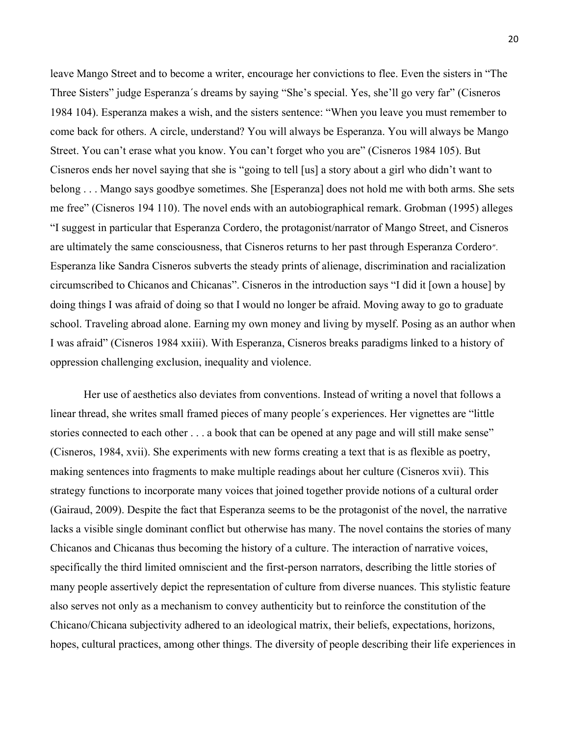leave Mango Street and to become a writer, encourage her convictions to flee. Even the sisters in "The Three Sisters" judge Esperanza´s dreams by saying "She's special. Yes, she'll go very far" (Cisneros 1984 104). Esperanza makes a wish, and the sisters sentence: "When you leave you must remember to come back for others. A circle, understand? You will always be Esperanza. You will always be Mango Street. You can't erase what you know. You can't forget who you are" (Cisneros 1984 105). But Cisneros ends her novel saying that she is "going to tell [us] a story about a girl who didn't want to belong . . . Mango says goodbye sometimes. She [Esperanza] does not hold me with both arms. She sets me free" (Cisneros 194 110). The novel ends with an autobiographical remark. Grobman (1995) alleges "I suggest in particular that Esperanza Cordero, the protagonist/narrator of Mango Street, and Cisneros are ultimately the same consciousness, that Cisneros returns to her past through Esperanza Cordero". Esperanza like Sandra Cisneros subverts the steady prints of alienage, discrimination and racialization circumscribed to Chicanos and Chicanas". Cisneros in the introduction says "I did it [own a house] by doing things I was afraid of doing so that I would no longer be afraid. Moving away to go to graduate school. Traveling abroad alone. Earning my own money and living by myself. Posing as an author when I was afraid" (Cisneros 1984 xxiii). With Esperanza, Cisneros breaks paradigms linked to a history of oppression challenging exclusion, inequality and violence.

Her use of aesthetics also deviates from conventions. Instead of writing a novel that follows a linear thread, she writes small framed pieces of many people´s experiences. Her vignettes are "little stories connected to each other . . . a book that can be opened at any page and will still make sense" (Cisneros, 1984, xvii). She experiments with new forms creating a text that is as flexible as poetry, making sentences into fragments to make multiple readings about her culture (Cisneros xvii). This strategy functions to incorporate many voices that joined together provide notions of a cultural order (Gairaud, 2009). Despite the fact that Esperanza seems to be the protagonist of the novel, the narrative lacks a visible single dominant conflict but otherwise has many. The novel contains the stories of many Chicanos and Chicanas thus becoming the history of a culture. The interaction of narrative voices, specifically the third limited omniscient and the first-person narrators, describing the little stories of many people assertively depict the representation of culture from diverse nuances. This stylistic feature also serves not only as a mechanism to convey authenticity but to reinforce the constitution of the Chicano/Chicana subjectivity adhered to an ideological matrix, their beliefs, expectations, horizons, hopes, cultural practices, among other things. The diversity of people describing their life experiences in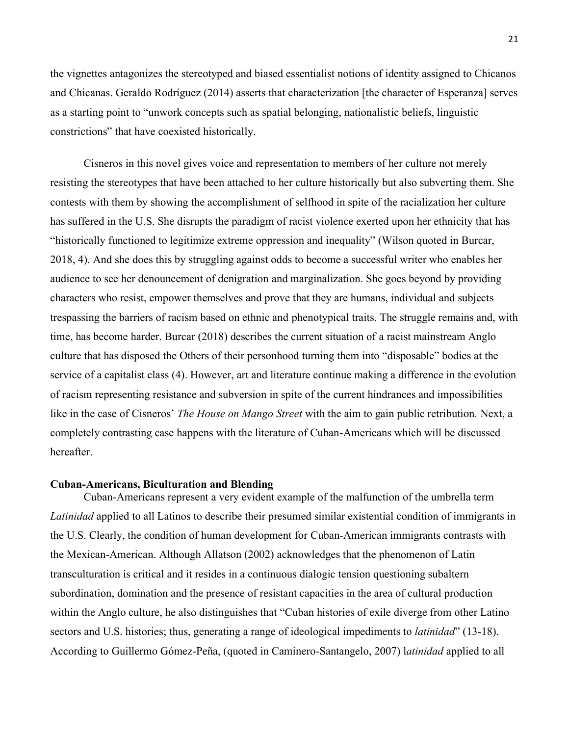the vignettes antagonizes the stereotyped and biased essentialist notions of identity assigned to Chicanos and Chicanas. Geraldo Rodríguez (2014) asserts that characterization [the character of Esperanza] serves as a starting point to "unwork concepts such as spatial belonging, nationalistic beliefs, linguistic constrictions" that have coexisted historically.

Cisneros in this novel gives voice and representation to members of her culture not merely resisting the stereotypes that have been attached to her culture historically but also subverting them. She contests with them by showing the accomplishment of selfhood in spite of the racialization her culture has suffered in the U.S. She disrupts the paradigm of racist violence exerted upon her ethnicity that has "historically functioned to legitimize extreme oppression and inequality" (Wilson quoted in Burcar, 2018, 4). And she does this by struggling against odds to become a successful writer who enables her audience to see her denouncement of denigration and marginalization. She goes beyond by providing characters who resist, empower themselves and prove that they are humans, individual and subjects trespassing the barriers of racism based on ethnic and phenotypical traits. The struggle remains and, with time, has become harder. Burcar (2018) describes the current situation of a racist mainstream Anglo culture that has disposed the Others of their personhood turning them into "disposable" bodies at the service of a capitalist class (4). However, art and literature continue making a difference in the evolution of racism representing resistance and subversion in spite of the current hindrances and impossibilities like in the case of Cisneros' *The House on Mango Street* with the aim to gain public retribution*.* Next, a completely contrasting case happens with the literature of Cuban-Americans which will be discussed hereafter.

#### **Cuban-Americans, Biculturation and Blending**

Cuban-Americans represent a very evident example of the malfunction of the umbrella term *Latinidad* applied to all Latinos to describe their presumed similar existential condition of immigrants in the U.S. Clearly, the condition of human development for Cuban-American immigrants contrasts with the Mexican-American. Although Allatson (2002) acknowledges that the phenomenon of Latin transculturation is critical and it resides in a continuous dialogic tension questioning subaltern subordination, domination and the presence of resistant capacities in the area of cultural production within the Anglo culture, he also distinguishes that "Cuban histories of exile diverge from other Latino sectors and U.S. histories; thus, generating a range of ideological impediments to *latinidad*" (13-18). According to Guillermo Gómez-Peña, (quoted in Caminero-Santangelo, 2007) l*atinidad* applied to all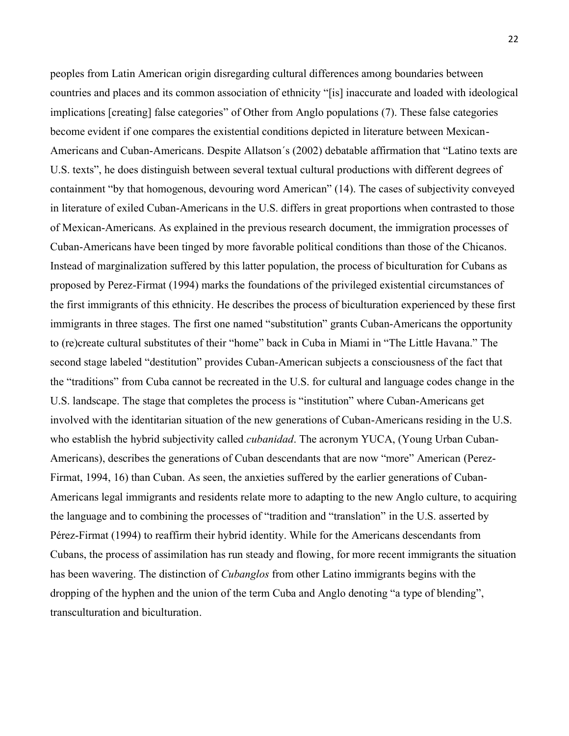peoples from Latin American origin disregarding cultural differences among boundaries between countries and places and its common association of ethnicity "[is] inaccurate and loaded with ideological implications [creating] false categories" of Other from Anglo populations (7). These false categories become evident if one compares the existential conditions depicted in literature between Mexican-Americans and Cuban-Americans. Despite Allatson´s (2002) debatable affirmation that "Latino texts are U.S. texts", he does distinguish between several textual cultural productions with different degrees of containment "by that homogenous, devouring word American" (14). The cases of subjectivity conveyed in literature of exiled Cuban-Americans in the U.S. differs in great proportions when contrasted to those of Mexican-Americans. As explained in the previous research document, the immigration processes of Cuban-Americans have been tinged by more favorable political conditions than those of the Chicanos. Instead of marginalization suffered by this latter population, the process of biculturation for Cubans as proposed by Perez-Firmat (1994) marks the foundations of the privileged existential circumstances of the first immigrants of this ethnicity. He describes the process of biculturation experienced by these first immigrants in three stages. The first one named "substitution" grants Cuban-Americans the opportunity to (re)create cultural substitutes of their "home" back in Cuba in Miami in "The Little Havana." The second stage labeled "destitution" provides Cuban-American subjects a consciousness of the fact that the "traditions" from Cuba cannot be recreated in the U.S. for cultural and language codes change in the U.S. landscape. The stage that completes the process is "institution" where Cuban-Americans get involved with the identitarian situation of the new generations of Cuban-Americans residing in the U.S. who establish the hybrid subjectivity called *cubanidad*. The acronym YUCA, (Young Urban Cuban-Americans), describes the generations of Cuban descendants that are now "more" American (Perez-Firmat, 1994, 16) than Cuban. As seen, the anxieties suffered by the earlier generations of Cuban-Americans legal immigrants and residents relate more to adapting to the new Anglo culture, to acquiring the language and to combining the processes of "tradition and "translation" in the U.S. asserted by Pérez-Firmat (1994) to reaffirm their hybrid identity. While for the Americans descendants from Cubans, the process of assimilation has run steady and flowing, for more recent immigrants the situation has been wavering. The distinction of *Cubanglos* from other Latino immigrants begins with the dropping of the hyphen and the union of the term Cuba and Anglo denoting "a type of blending", transculturation and biculturation.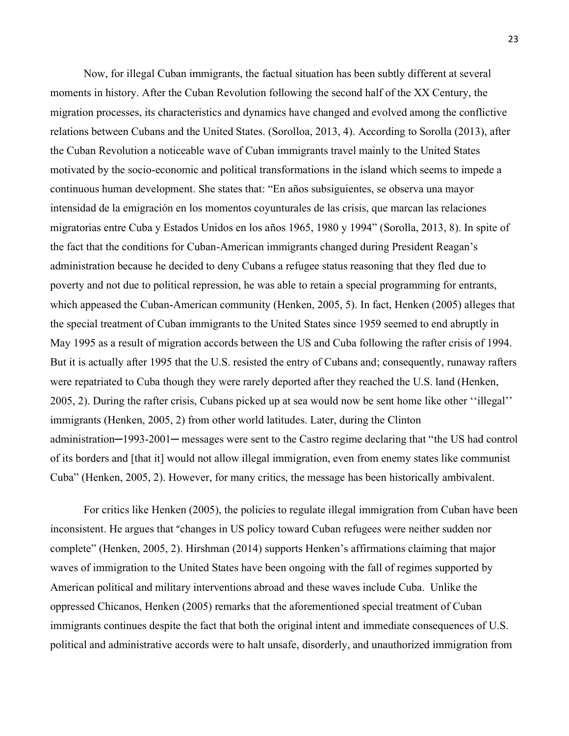Now, for illegal Cuban immigrants, the factual situation has been subtly different at several moments in history. After the Cuban Revolution following the second half of the XX Century, the migration processes, its characteristics and dynamics have changed and evolved among the conflictive relations between Cubans and the United States. (Sorolloa, 2013, 4). According to Sorolla (2013), after the Cuban Revolution a noticeable wave of Cuban immigrants travel mainly to the United States motivated by the socio-economic and political transformations in the island which seems to impede a continuous human development. She states that: "En años subsiguientes, se observa una mayor intensidad de la emigración en los momentos coyunturales de las crisis, que marcan las relaciones migratorias entre Cuba y Estados Unidos en los años 1965, 1980 y 1994" (Sorolla, 2013, 8). In spite of the fact that the conditions for Cuban-American immigrants changed during President Reagan's administration because he decided to deny Cubans a refugee status reasoning that they fled due to poverty and not due to political repression, he was able to retain a special programming for entrants, which appeased the Cuban-American community (Henken, 2005, 5). In fact, Henken (2005) alleges that the special treatment of Cuban immigrants to the United States since 1959 seemed to end abruptly in May 1995 as a result of migration accords between the US and Cuba following the rafter crisis of 1994. But it is actually after 1995 that the U.S. resisted the entry of Cubans and; consequently, runaway rafters were repatriated to Cuba though they were rarely deported after they reached the U.S. land (Henken, 2005, 2). During the rafter crisis, Cubans picked up at sea would now be sent home like other ''illegal'' immigrants (Henken, 2005, 2) from other world latitudes. Later, during the Clinton administration─1993-2001─ messages were sent to the Castro regime declaring that "the US had control of its borders and [that it] would not allow illegal immigration, even from enemy states like communist Cuba" (Henken, 2005, 2). However, for many critics, the message has been historically ambivalent.

For critics like Henken (2005), the policies to regulate illegal immigration from Cuban have been inconsistent. He argues that "changes in US policy toward Cuban refugees were neither sudden nor complete" (Henken, 2005, 2). Hirshman (2014) supports Henken's affirmations claiming that major waves of immigration to the United States have been ongoing with the fall of regimes supported by American political and military interventions abroad and these waves include Cuba. Unlike the oppressed Chicanos, Henken (2005) remarks that the aforementioned special treatment of Cuban immigrants continues despite the fact that both the original intent and immediate consequences of U.S. political and administrative accords were to halt unsafe, disorderly, and unauthorized immigration from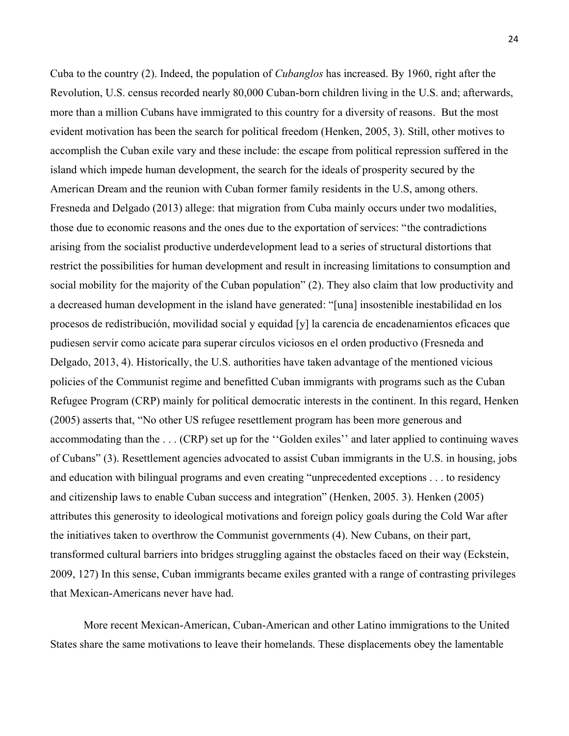Cuba to the country (2). Indeed, the population of *Cubanglos* has increased. By 1960, right after the Revolution, U.S. census recorded nearly 80,000 Cuban-born children living in the U.S. and; afterwards, more than a million Cubans have immigrated to this country for a diversity of reasons. But the most evident motivation has been the search for political freedom (Henken, 2005, 3). Still, other motives to accomplish the Cuban exile vary and these include: the escape from political repression suffered in the island which impede human development, the search for the ideals of prosperity secured by the American Dream and the reunion with Cuban former family residents in the U.S, among others. Fresneda and Delgado (2013) allege: that migration from Cuba mainly occurs under two modalities, those due to economic reasons and the ones due to the exportation of services: "the contradictions arising from the socialist productive underdevelopment lead to a series of structural distortions that restrict the possibilities for human development and result in increasing limitations to consumption and social mobility for the majority of the Cuban population" (2). They also claim that low productivity and a decreased human development in the island have generated: "[una] insostenible inestabilidad en los procesos de redistribución, movilidad social y equidad [y] la carencia de encadenamientos eficaces que pudiesen servir como acicate para superar círculos viciosos en el orden productivo (Fresneda and Delgado, 2013, 4). Historically, the U.S. authorities have taken advantage of the mentioned vicious policies of the Communist regime and benefitted Cuban immigrants with programs such as the Cuban Refugee Program (CRP) mainly for political democratic interests in the continent. In this regard, Henken (2005) asserts that, "No other US refugee resettlement program has been more generous and accommodating than the . . . (CRP) set up for the ''Golden exiles'' and later applied to continuing waves of Cubans" (3). Resettlement agencies advocated to assist Cuban immigrants in the U.S. in housing, jobs and education with bilingual programs and even creating "unprecedented exceptions . . . to residency and citizenship laws to enable Cuban success and integration" (Henken, 2005. 3). Henken (2005) attributes this generosity to ideological motivations and foreign policy goals during the Cold War after the initiatives taken to overthrow the Communist governments (4). New Cubans, on their part, transformed cultural barriers into bridges struggling against the obstacles faced on their way (Eckstein, 2009, 127) In this sense, Cuban immigrants became exiles granted with a range of contrasting privileges that Mexican-Americans never have had.

More recent Mexican-American, Cuban-American and other Latino immigrations to the United States share the same motivations to leave their homelands. These displacements obey the lamentable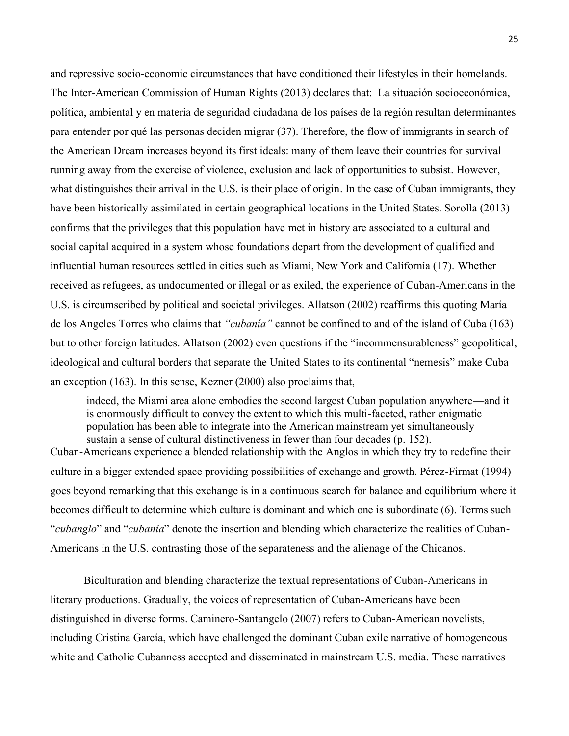and repressive socio-economic circumstances that have conditioned their lifestyles in their homelands. The Inter-American Commission of Human Rights (2013) declares that: La situación socioeconómica, política, ambiental y en materia de seguridad ciudadana de los países de la región resultan determinantes para entender por qué las personas deciden migrar (37). Therefore, the flow of immigrants in search of the American Dream increases beyond its first ideals: many of them leave their countries for survival running away from the exercise of violence, exclusion and lack of opportunities to subsist. However, what distinguishes their arrival in the U.S. is their place of origin. In the case of Cuban immigrants, they have been historically assimilated in certain geographical locations in the United States. Sorolla (2013) confirms that the privileges that this population have met in history are associated to a cultural and social capital acquired in a system whose foundations depart from the development of qualified and influential human resources settled in cities such as Miami, New York and California (17). Whether received as refugees, as undocumented or illegal or as exiled, the experience of Cuban-Americans in the U.S. is circumscribed by political and societal privileges. Allatson (2002) reaffirms this quoting María de los Angeles Torres who claims that *"cubanía"* cannot be confined to and of the island of Cuba (163) but to other foreign latitudes. Allatson (2002) even questions if the "incommensurableness" geopolitical, ideological and cultural borders that separate the United States to its continental "nemesis" make Cuba an exception (163). In this sense, Kezner (2000) also proclaims that,

indeed, the Miami area alone embodies the second largest Cuban population anywhere—and it is enormously difficult to convey the extent to which this multi-faceted, rather enigmatic population has been able to integrate into the American mainstream yet simultaneously sustain a sense of cultural distinctiveness in fewer than four decades (p. 152).

Cuban-Americans experience a blended relationship with the Anglos in which they try to redefine their culture in a bigger extended space providing possibilities of exchange and growth. Pérez-Firmat (1994) goes beyond remarking that this exchange is in a continuous search for balance and equilibrium where it becomes difficult to determine which culture is dominant and which one is subordinate (6). Terms such "*cubanglo*" and "*cubanía*" denote the insertion and blending which characterize the realities of Cuban-Americans in the U.S. contrasting those of the separateness and the alienage of the Chicanos.

Biculturation and blending characterize the textual representations of Cuban-Americans in literary productions. Gradually, the voices of representation of Cuban-Americans have been distinguished in diverse forms. Caminero-Santangelo (2007) refers to Cuban-American novelists, including Cristina García, which have challenged the dominant Cuban exile narrative of homogeneous white and Catholic Cubanness accepted and disseminated in mainstream U.S. media. These narratives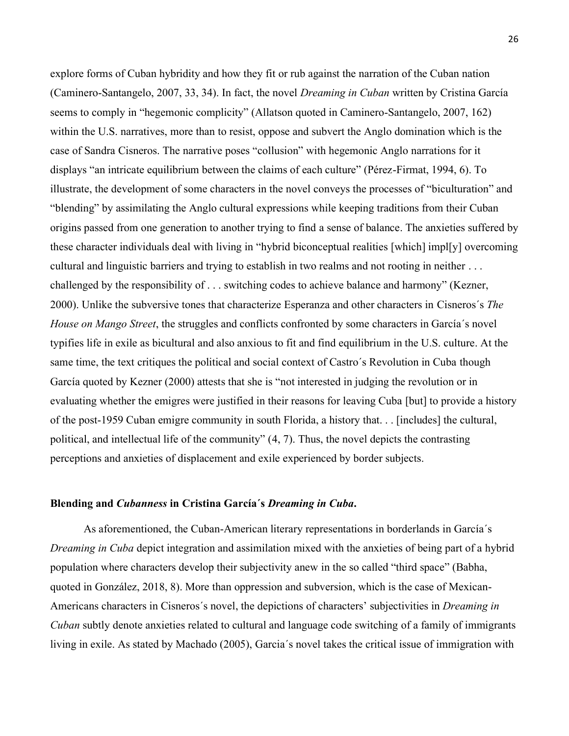explore forms of Cuban hybridity and how they fit or rub against the narration of the Cuban nation (Caminero-Santangelo, 2007, 33, 34). In fact, the novel *Dreaming in Cuban* written by Cristina García seems to comply in "hegemonic complicity" (Allatson quoted in Caminero-Santangelo, 2007, 162) within the U.S. narratives, more than to resist, oppose and subvert the Anglo domination which is the case of Sandra Cisneros. The narrative poses "collusion" with hegemonic Anglo narrations for it displays "an intricate equilibrium between the claims of each culture" (Pérez-Firmat, 1994, 6). To illustrate, the development of some characters in the novel conveys the processes of "biculturation" and "blending" by assimilating the Anglo cultural expressions while keeping traditions from their Cuban origins passed from one generation to another trying to find a sense of balance. The anxieties suffered by these character individuals deal with living in "hybrid biconceptual realities [which] impl[y] overcoming cultural and linguistic barriers and trying to establish in two realms and not rooting in neither . . . challenged by the responsibility of . . . switching codes to achieve balance and harmony" (Kezner, 2000). Unlike the subversive tones that characterize Esperanza and other characters in Cisneros´s *The House on Mango Street*, the struggles and conflicts confronted by some characters in García´s novel typifies life in exile as bicultural and also anxious to fit and find equilibrium in the U.S. culture. At the same time, the text critiques the political and social context of Castro´s Revolution in Cuba though García quoted by Kezner (2000) attests that she is "not interested in judging the revolution or in evaluating whether the emigres were justified in their reasons for leaving Cuba [but] to provide a history of the post-1959 Cuban emigre community in south Florida, a history that. . . [includes] the cultural, political, and intellectual life of the community" (4, 7). Thus, the novel depicts the contrasting perceptions and anxieties of displacement and exile experienced by border subjects.

#### **Blending and** *Cubanness* **in Cristina García´s** *Dreaming in Cuba***.**

As aforementioned, the Cuban-American literary representations in borderlands in García´s *Dreaming in Cuba* depict integration and assimilation mixed with the anxieties of being part of a hybrid population where characters develop their subjectivity anew in the so called "third space" (Babha, quoted in González, 2018, 8). More than oppression and subversion, which is the case of Mexican-Americans characters in Cisneros´s novel, the depictions of characters' subjectivities in *Dreaming in Cuban* subtly denote anxieties related to cultural and language code switching of a family of immigrants living in exile. As stated by Machado (2005), Garcia´s novel takes the critical issue of immigration with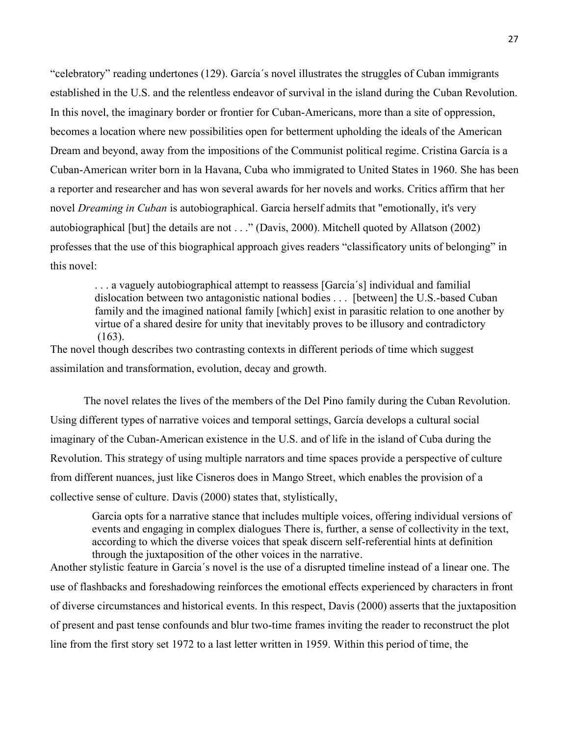"celebratory" reading undertones (129). García´s novel illustrates the struggles of Cuban immigrants established in the U.S. and the relentless endeavor of survival in the island during the Cuban Revolution. In this novel, the imaginary border or frontier for Cuban-Americans, more than a site of oppression, becomes a location where new possibilities open for betterment upholding the ideals of the American Dream and beyond, away from the impositions of the Communist political regime. Cristina García is a Cuban-American writer born in la Havana, Cuba who immigrated to United States in 1960. She has been a reporter and researcher and has won several awards for her novels and works. Critics affirm that her novel *Dreaming in Cuban* is autobiographical. Garcia herself admits that "emotionally, it's very autobiographical [but] the details are not . . ." (Davis, 2000). Mitchell quoted by Allatson (2002) professes that the use of this biographical approach gives readers "classificatory units of belonging" in this novel:

 . . . a vaguely autobiographical attempt to reassess [García´s] individual and familial dislocation between two antagonistic national bodies . . . [between] the U.S.-based Cuban family and the imagined national family [which] exist in parasitic relation to one another by virtue of a shared desire for unity that inevitably proves to be illusory and contradictory (163).

The novel though describes two contrasting contexts in different periods of time which suggest assimilation and transformation, evolution, decay and growth.

The novel relates the lives of the members of the Del Pino family during the Cuban Revolution. Using different types of narrative voices and temporal settings, García develops a cultural social imaginary of the Cuban-American existence in the U.S. and of life in the island of Cuba during the Revolution. This strategy of using multiple narrators and time spaces provide a perspective of culture from different nuances, just like Cisneros does in Mango Street, which enables the provision of a collective sense of culture. Davis (2000) states that, stylistically,

 Garcia opts for a narrative stance that includes multiple voices, offering individual versions of events and engaging in complex dialogues There is, further, a sense of collectivity in the text, according to which the diverse voices that speak discern self-referential hints at definition through the juxtaposition of the other voices in the narrative.

Another stylistic feature in Garcia´s novel is the use of a disrupted timeline instead of a linear one. The use of flashbacks and foreshadowing reinforces the emotional effects experienced by characters in front of diverse circumstances and historical events. In this respect, Davis (2000) asserts that the juxtaposition of present and past tense confounds and blur two-time frames inviting the reader to reconstruct the plot line from the first story set 1972 to a last letter written in 1959. Within this period of time, the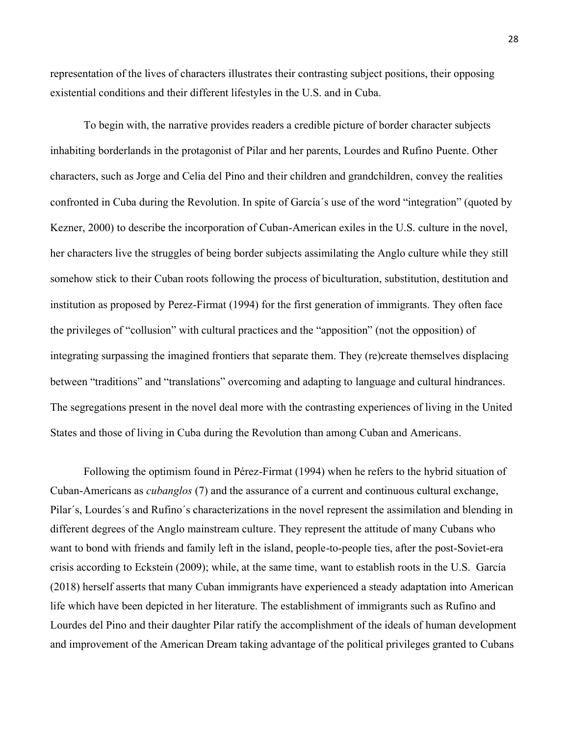representation of the lives of characters illustrates their contrasting subject positions, their opposing existential conditions and their different lifestyles in the U.S. and in Cuba.

To begin with, the narrative provides readers a credible picture of border character subjects inhabiting borderlands in the protagonist of Pilar and her parents, Lourdes and Rufino Puente. Other characters, such as Jorge and Celia del Pino and their children and grandchildren, convey the realities confronted in Cuba during the Revolution. In spite of García´s use of the word "integration" (quoted by Kezner, 2000) to describe the incorporation of Cuban-American exiles in the U.S. culture in the novel, her characters live the struggles of being border subjects assimilating the Anglo culture while they still somehow stick to their Cuban roots following the process of biculturation, substitution, destitution and institution as proposed by Perez-Firmat (1994) for the first generation of immigrants. They often face the privileges of "collusion" with cultural practices and the "apposition" (not the opposition) of integrating surpassing the imagined frontiers that separate them. They (re)create themselves displacing between "traditions" and "translations" overcoming and adapting to language and cultural hindrances. The segregations present in the novel deal more with the contrasting experiences of living in the United States and those of living in Cuba during the Revolution than among Cuban and Americans.

Following the optimism found in Pérez-Firmat (1994) when he refers to the hybrid situation of Cuban-Americans as *cubanglos* (7) and the assurance of a current and continuous cultural exchange, Pilar´s, Lourdes´s and Rufino´s characterizations in the novel represent the assimilation and blending in different degrees of the Anglo mainstream culture. They represent the attitude of many Cubans who want to bond with friends and family left in the island, people-to-people ties, after the post-Soviet-era crisis according to Eckstein (2009); while, at the same time, want to establish roots in the U.S. García (2018) herself asserts that many Cuban immigrants have experienced a steady adaptation into American life which have been depicted in her literature. The establishment of immigrants such as Rufino and Lourdes del Pino and their daughter Pilar ratify the accomplishment of the ideals of human development and improvement of the American Dream taking advantage of the political privileges granted to Cubans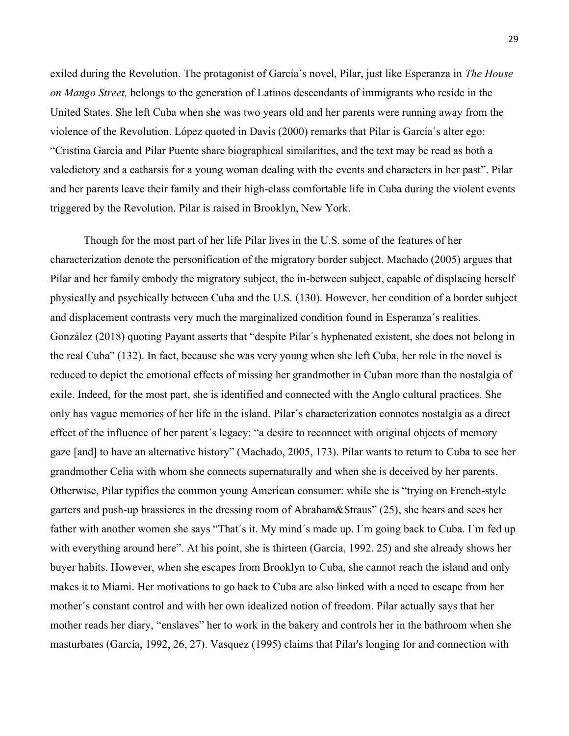exiled during the Revolution. The protagonist of García´s novel, Pilar, just like Esperanza in *The House on Mango Street,* belongs to the generation of Latinos descendants of immigrants who reside in the United States. She left Cuba when she was two years old and her parents were running away from the violence of the Revolution. López quoted in Davis (2000) remarks that Pilar is García´s alter ego: "Cristina Garcia and Pilar Puente share biographical similarities, and the text may be read as both a valedictory and a catharsis for a young woman dealing with the events and characters in her past". Pilar and her parents leave their family and their high-class comfortable life in Cuba during the violent events triggered by the Revolution. Pilar is raised in Brooklyn, New York.

Though for the most part of her life Pilar lives in the U.S. some of the features of her characterization denote the personification of the migratory border subject. Machado (2005) argues that Pilar and her family embody the migratory subject, the in-between subject, capable of displacing herself physically and psychically between Cuba and the U.S. (130). However, her condition of a border subject and displacement contrasts very much the marginalized condition found in Esperanza´s realities. González (2018) quoting Payant asserts that "despite Pilar´s hyphenated existent, she does not belong in the real Cuba" (132). In fact, because she was very young when she left Cuba, her role in the novel is reduced to depict the emotional effects of missing her grandmother in Cuban more than the nostalgia of exile. Indeed, for the most part, she is identified and connected with the Anglo cultural practices. She only has vague memories of her life in the island. Pilar´s characterization connotes nostalgia as a direct effect of the influence of her parent´s legacy: "a desire to reconnect with original objects of memory gaze [and] to have an alternative history" (Machado, 2005, 173). Pilar wants to return to Cuba to see her grandmother Celia with whom she connects supernaturally and when she is deceived by her parents. Otherwise, Pilar typifies the common young American consumer: while she is "trying on French-style garters and push-up brassieres in the dressing room of Abraham&Straus" (25), she hears and sees her father with another women she says "That´s it. My mind´s made up. I´m going back to Cuba. I´m fed up with everything around here". At his point, she is thirteen (García, 1992. 25) and she already shows her buyer habits. However, when she escapes from Brooklyn to Cuba, she cannot reach the island and only makes it to Miami. Her motivations to go back to Cuba are also linked with a need to escape from her mother´s constant control and with her own idealized notion of freedom. Pilar actually says that her mother reads her diary, "enslaves" her to work in the bakery and controls her in the bathroom when she masturbates (García, 1992, 26, 27). Vasquez (1995) claims that Pilar's longing for and connection with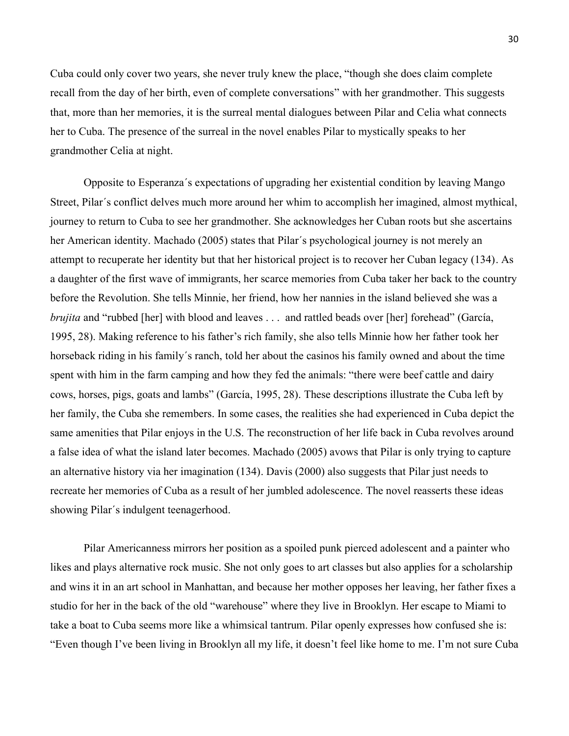Cuba could only cover two years, she never truly knew the place, "though she does claim complete recall from the day of her birth, even of complete conversations" with her grandmother. This suggests that, more than her memories, it is the surreal mental dialogues between Pilar and Celia what connects her to Cuba. The presence of the surreal in the novel enables Pilar to mystically speaks to her grandmother Celia at night.

Opposite to Esperanza´s expectations of upgrading her existential condition by leaving Mango Street, Pilar´s conflict delves much more around her whim to accomplish her imagined, almost mythical, journey to return to Cuba to see her grandmother. She acknowledges her Cuban roots but she ascertains her American identity. Machado (2005) states that Pilar´s psychological journey is not merely an attempt to recuperate her identity but that her historical project is to recover her Cuban legacy (134). As a daughter of the first wave of immigrants, her scarce memories from Cuba taker her back to the country before the Revolution. She tells Minnie, her friend, how her nannies in the island believed she was a *brujita* and "rubbed [her] with blood and leaves . . . and rattled beads over [her] forehead" (García, 1995, 28). Making reference to his father's rich family, she also tells Minnie how her father took her horseback riding in his family´s ranch, told her about the casinos his family owned and about the time spent with him in the farm camping and how they fed the animals: "there were beef cattle and dairy cows, horses, pigs, goats and lambs" (García, 1995, 28). These descriptions illustrate the Cuba left by her family, the Cuba she remembers. In some cases, the realities she had experienced in Cuba depict the same amenities that Pilar enjoys in the U.S. The reconstruction of her life back in Cuba revolves around a false idea of what the island later becomes. Machado (2005) avows that Pilar is only trying to capture an alternative history via her imagination (134). Davis (2000) also suggests that Pilar just needs to recreate her memories of Cuba as a result of her jumbled adolescence. The novel reasserts these ideas showing Pilar´s indulgent teenagerhood.

Pilar Americanness mirrors her position as a spoiled punk pierced adolescent and a painter who likes and plays alternative rock music. She not only goes to art classes but also applies for a scholarship and wins it in an art school in Manhattan, and because her mother opposes her leaving, her father fixes a studio for her in the back of the old "warehouse" where they live in Brooklyn. Her escape to Miami to take a boat to Cuba seems more like a whimsical tantrum. Pilar openly expresses how confused she is: "Even though I've been living in Brooklyn all my life, it doesn't feel like home to me. I'm not sure Cuba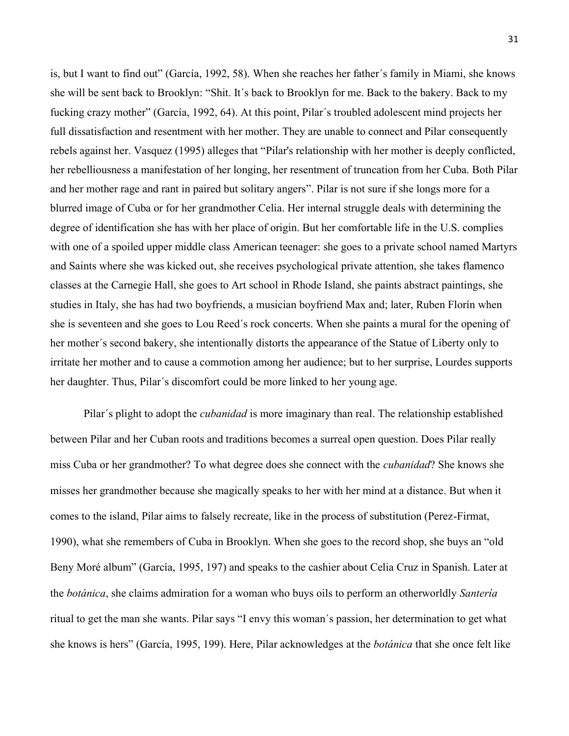is, but I want to find out" (García, 1992, 58). When she reaches her father´s family in Miami, she knows she will be sent back to Brooklyn: "Shit. It´s back to Brooklyn for me. Back to the bakery. Back to my fucking crazy mother" (García, 1992, 64). At this point, Pilar´s troubled adolescent mind projects her full dissatisfaction and resentment with her mother. They are unable to connect and Pilar consequently rebels against her. Vasquez (1995) alleges that "Pilar's relationship with her mother is deeply conflicted, her rebelliousness a manifestation of her longing, her resentment of truncation from her Cuba. Both Pilar and her mother rage and rant in paired but solitary angers". Pilar is not sure if she longs more for a blurred image of Cuba or for her grandmother Celia. Her internal struggle deals with determining the degree of identification she has with her place of origin. But her comfortable life in the U.S. complies with one of a spoiled upper middle class American teenager: she goes to a private school named Martyrs and Saints where she was kicked out, she receives psychological private attention, she takes flamenco classes at the Carnegie Hall, she goes to Art school in Rhode Island, she paints abstract paintings, she studies in Italy, she has had two boyfriends, a musician boyfriend Max and; later, Ruben Florín when she is seventeen and she goes to Lou Reed´s rock concerts. When she paints a mural for the opening of her mother´s second bakery, she intentionally distorts the appearance of the Statue of Liberty only to irritate her mother and to cause a commotion among her audience; but to her surprise, Lourdes supports her daughter. Thus, Pilar´s discomfort could be more linked to her young age.

Pilar´s plight to adopt the *cubanidad* is more imaginary than real. The relationship established between Pilar and her Cuban roots and traditions becomes a surreal open question. Does Pilar really miss Cuba or her grandmother? To what degree does she connect with the *cubanidad*? She knows she misses her grandmother because she magically speaks to her with her mind at a distance. But when it comes to the island, Pilar aims to falsely recreate, like in the process of substitution (Perez-Firmat, 1990), what she remembers of Cuba in Brooklyn. When she goes to the record shop, she buys an "old Beny Moré album" (García, 1995, 197) and speaks to the cashier about Celia Cruz in Spanish. Later at the *botánica*, she claims admiration for a woman who buys oils to perform an otherworldly *Santería* ritual to get the man she wants. Pilar says "I envy this woman´s passion, her determination to get what she knows is hers" (García, 1995, 199). Here, Pilar acknowledges at the *botánica* that she once felt like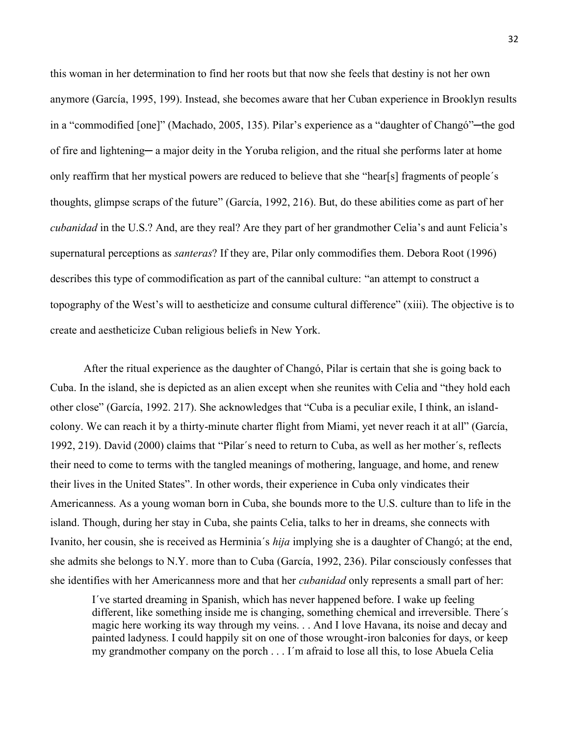this woman in her determination to find her roots but that now she feels that destiny is not her own anymore (García, 1995, 199). Instead, she becomes aware that her Cuban experience in Brooklyn results in a "commodified [one]" (Machado, 2005, 135). Pilar's experience as a "daughter of Changó"—the god of fire and lightening— a major deity in the Yoruba religion, and the ritual she performs later at home only reaffirm that her mystical powers are reduced to believe that she "hear[s] fragments of people´s thoughts, glimpse scraps of the future" (García, 1992, 216). But, do these abilities come as part of her *cubanidad* in the U.S.? And, are they real? Are they part of her grandmother Celia's and aunt Felicia's supernatural perceptions as *santeras*? If they are, Pilar only commodifies them. Debora Root (1996) describes this type of commodification as part of the cannibal culture: "an attempt to construct a topography of the West's will to aestheticize and consume cultural difference" (xiii). The objective is to create and aestheticize Cuban religious beliefs in New York.

After the ritual experience as the daughter of Changó, Pilar is certain that she is going back to Cuba. In the island, she is depicted as an alien except when she reunites with Celia and "they hold each other close" (García, 1992. 217). She acknowledges that "Cuba is a peculiar exile, I think, an islandcolony. We can reach it by a thirty-minute charter flight from Miami, yet never reach it at all" (García, 1992, 219). David (2000) claims that "Pilar´s need to return to Cuba, as well as her mother´s, reflects their need to come to terms with the tangled meanings of mothering, language, and home, and renew their lives in the United States". In other words, their experience in Cuba only vindicates their Americanness. As a young woman born in Cuba, she bounds more to the U.S. culture than to life in the island. Though, during her stay in Cuba, she paints Celia, talks to her in dreams, she connects with Ivanito, her cousin, she is received as Herminia´s *hija* implying she is a daughter of Changó; at the end, she admits she belongs to N.Y. more than to Cuba (García, 1992, 236). Pilar consciously confesses that she identifies with her Americanness more and that her *cubanidad* only represents a small part of her:

 I´ve started dreaming in Spanish, which has never happened before. I wake up feeling different, like something inside me is changing, something chemical and irreversible. There´s magic here working its way through my veins. . . And I love Havana, its noise and decay and painted ladyness. I could happily sit on one of those wrought-iron balconies for days, or keep my grandmother company on the porch . . . I´m afraid to lose all this, to lose Abuela Celia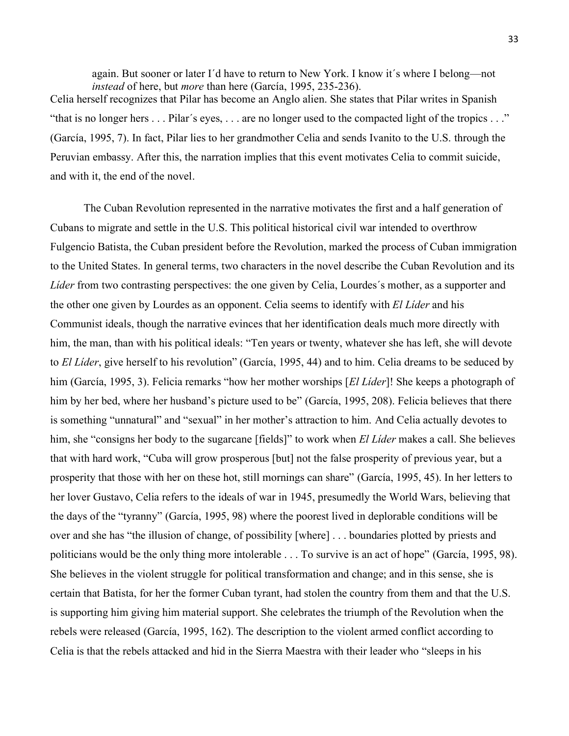again. But sooner or later I´d have to return to New York. I know it´s where I belong—not *instead* of here, but *more* than here (García, 1995, 235-236). Celia herself recognizes that Pilar has become an Anglo alien. She states that Pilar writes in Spanish "that is no longer hers . . . Pilar´s eyes, . . . are no longer used to the compacted light of the tropics . . ." (García, 1995, 7). In fact, Pilar lies to her grandmother Celia and sends Ivanito to the U.S. through the Peruvian embassy. After this, the narration implies that this event motivates Celia to commit suicide, and with it, the end of the novel.

The Cuban Revolution represented in the narrative motivates the first and a half generation of Cubans to migrate and settle in the U.S. This political historical civil war intended to overthrow Fulgencio Batista, the Cuban president before the Revolution, marked the process of Cuban immigration to the United States. In general terms, two characters in the novel describe the Cuban Revolution and its *Líder* from two contrasting perspectives: the one given by Celia, Lourdes´s mother, as a supporter and the other one given by Lourdes as an opponent. Celia seems to identify with *El Líder* and his Communist ideals, though the narrative evinces that her identification deals much more directly with him, the man, than with his political ideals: "Ten years or twenty, whatever she has left, she will devote to *El Líder*, give herself to his revolution" (García, 1995, 44) and to him. Celia dreams to be seduced by him (García, 1995, 3). Felicia remarks "how her mother worships [*El Líder*]! She keeps a photograph of him by her bed, where her husband's picture used to be" (García, 1995, 208). Felicia believes that there is something "unnatural" and "sexual" in her mother's attraction to him. And Celia actually devotes to him, she "consigns her body to the sugarcane [fields]" to work when *El Líder* makes a call. She believes that with hard work, "Cuba will grow prosperous [but] not the false prosperity of previous year, but a prosperity that those with her on these hot, still mornings can share" (García, 1995, 45). In her letters to her lover Gustavo, Celia refers to the ideals of war in 1945, presumedly the World Wars, believing that the days of the "tyranny" (García, 1995, 98) where the poorest lived in deplorable conditions will be over and she has "the illusion of change, of possibility [where] . . . boundaries plotted by priests and politicians would be the only thing more intolerable . . . To survive is an act of hope" (García, 1995, 98). She believes in the violent struggle for political transformation and change; and in this sense, she is certain that Batista, for her the former Cuban tyrant, had stolen the country from them and that the U.S. is supporting him giving him material support. She celebrates the triumph of the Revolution when the rebels were released (García, 1995, 162). The description to the violent armed conflict according to Celia is that the rebels attacked and hid in the Sierra Maestra with their leader who "sleeps in his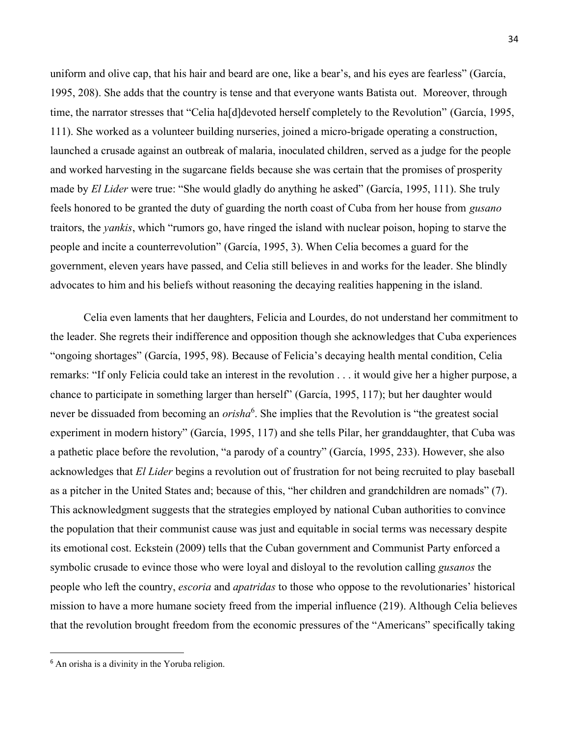uniform and olive cap, that his hair and beard are one, like a bear's, and his eyes are fearless" (García, 1995, 208). She adds that the country is tense and that everyone wants Batista out. Moreover, through time, the narrator stresses that "Celia ha[d]devoted herself completely to the Revolution" (García, 1995, 111). She worked as a volunteer building nurseries, joined a micro-brigade operating a construction, launched a crusade against an outbreak of malaria, inoculated children, served as a judge for the people and worked harvesting in the sugarcane fields because she was certain that the promises of prosperity made by *El Lider* were true: "She would gladly do anything he asked" (García, 1995, 111). She truly feels honored to be granted the duty of guarding the north coast of Cuba from her house from *gusano* traitors, the *yankis*, which "rumors go, have ringed the island with nuclear poison, hoping to starve the people and incite a counterrevolution" (García, 1995, 3). When Celia becomes a guard for the government, eleven years have passed, and Celia still believes in and works for the leader. She blindly advocates to him and his beliefs without reasoning the decaying realities happening in the island.

Celia even laments that her daughters, Felicia and Lourdes, do not understand her commitment to the leader. She regrets their indifference and opposition though she acknowledges that Cuba experiences "ongoing shortages" (García, 1995, 98). Because of Felicia's decaying health mental condition, Celia remarks: "If only Felicia could take an interest in the revolution . . . it would give her a higher purpose, a chance to participate in something larger than herself" (García, 1995, 117); but her daughter would never be dissuaded from becoming an *orisha*<sup>6</sup>. She implies that the Revolution is "the greatest social experiment in modern history" (García, 1995, 117) and she tells Pilar, her granddaughter, that Cuba was a pathetic place before the revolution, "a parody of a country" (García, 1995, 233). However, she also acknowledges that *El Lider* begins a revolution out of frustration for not being recruited to play baseball as a pitcher in the United States and; because of this, "her children and grandchildren are nomads" (7). This acknowledgment suggests that the strategies employed by national Cuban authorities to convince the population that their communist cause was just and equitable in social terms was necessary despite its emotional cost. Eckstein (2009) tells that the Cuban government and Communist Party enforced a symbolic crusade to evince those who were loyal and disloyal to the revolution calling *gusanos* the people who left the country, *escoria* and *apatridas* to those who oppose to the revolutionaries' historical mission to have a more humane society freed from the imperial influence (219). Although Celia believes that the revolution brought freedom from the economic pressures of the "Americans" specifically taking

 $6$  An orisha is a divinity in the Yoruba religion.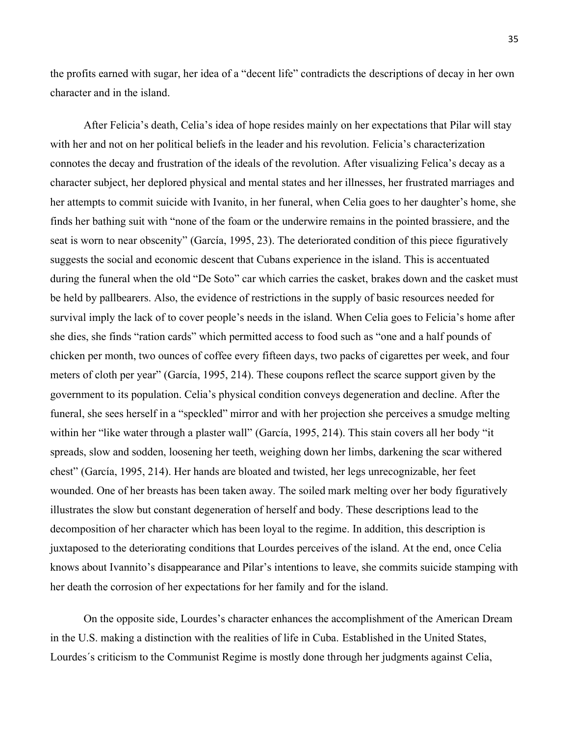the profits earned with sugar, her idea of a "decent life" contradicts the descriptions of decay in her own character and in the island.

After Felicia's death, Celia's idea of hope resides mainly on her expectations that Pilar will stay with her and not on her political beliefs in the leader and his revolution. Felicia's characterization connotes the decay and frustration of the ideals of the revolution. After visualizing Felica's decay as a character subject, her deplored physical and mental states and her illnesses, her frustrated marriages and her attempts to commit suicide with Ivanito, in her funeral, when Celia goes to her daughter's home, she finds her bathing suit with "none of the foam or the underwire remains in the pointed brassiere, and the seat is worn to near obscenity" (García, 1995, 23). The deteriorated condition of this piece figuratively suggests the social and economic descent that Cubans experience in the island. This is accentuated during the funeral when the old "De Soto" car which carries the casket, brakes down and the casket must be held by pallbearers. Also, the evidence of restrictions in the supply of basic resources needed for survival imply the lack of to cover people's needs in the island. When Celia goes to Felicia's home after she dies, she finds "ration cards" which permitted access to food such as "one and a half pounds of chicken per month, two ounces of coffee every fifteen days, two packs of cigarettes per week, and four meters of cloth per year" (García, 1995, 214). These coupons reflect the scarce support given by the government to its population. Celia's physical condition conveys degeneration and decline. After the funeral, she sees herself in a "speckled" mirror and with her projection she perceives a smudge melting within her "like water through a plaster wall" (García, 1995, 214). This stain covers all her body "it spreads, slow and sodden, loosening her teeth, weighing down her limbs, darkening the scar withered chest" (García, 1995, 214). Her hands are bloated and twisted, her legs unrecognizable, her feet wounded. One of her breasts has been taken away. The soiled mark melting over her body figuratively illustrates the slow but constant degeneration of herself and body. These descriptions lead to the decomposition of her character which has been loyal to the regime. In addition, this description is juxtaposed to the deteriorating conditions that Lourdes perceives of the island. At the end, once Celia knows about Ivannito's disappearance and Pilar's intentions to leave, she commits suicide stamping with her death the corrosion of her expectations for her family and for the island.

On the opposite side, Lourdes's character enhances the accomplishment of the American Dream in the U.S. making a distinction with the realities of life in Cuba. Established in the United States, Lourdes´s criticism to the Communist Regime is mostly done through her judgments against Celia,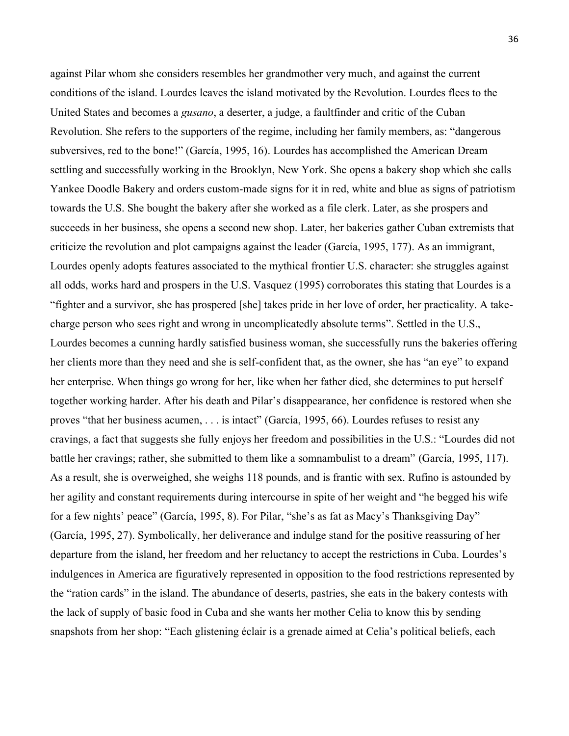against Pilar whom she considers resembles her grandmother very much, and against the current conditions of the island. Lourdes leaves the island motivated by the Revolution. Lourdes flees to the United States and becomes a *gusano*, a deserter, a judge, a faultfinder and critic of the Cuban Revolution. She refers to the supporters of the regime, including her family members, as: "dangerous subversives, red to the bone!" (García, 1995, 16). Lourdes has accomplished the American Dream settling and successfully working in the Brooklyn, New York. She opens a bakery shop which she calls Yankee Doodle Bakery and orders custom-made signs for it in red, white and blue as signs of patriotism towards the U.S. She bought the bakery after she worked as a file clerk. Later, as she prospers and succeeds in her business, she opens a second new shop. Later, her bakeries gather Cuban extremists that criticize the revolution and plot campaigns against the leader (García, 1995, 177). As an immigrant, Lourdes openly adopts features associated to the mythical frontier U.S. character: she struggles against all odds, works hard and prospers in the U.S. Vasquez (1995) corroborates this stating that Lourdes is a "fighter and a survivor, she has prospered [she] takes pride in her love of order, her practicality. A takecharge person who sees right and wrong in uncomplicatedly absolute terms". Settled in the U.S., Lourdes becomes a cunning hardly satisfied business woman, she successfully runs the bakeries offering her clients more than they need and she is self-confident that, as the owner, she has "an eye" to expand her enterprise. When things go wrong for her, like when her father died, she determines to put herself together working harder. After his death and Pilar's disappearance, her confidence is restored when she proves "that her business acumen, . . . is intact" (García, 1995, 66). Lourdes refuses to resist any cravings, a fact that suggests she fully enjoys her freedom and possibilities in the U.S.: "Lourdes did not battle her cravings; rather, she submitted to them like a somnambulist to a dream" (García, 1995, 117). As a result, she is overweighed, she weighs 118 pounds, and is frantic with sex. Rufino is astounded by her agility and constant requirements during intercourse in spite of her weight and "he begged his wife for a few nights' peace" (García, 1995, 8). For Pilar, "she's as fat as Macy's Thanksgiving Day" (García, 1995, 27). Symbolically, her deliverance and indulge stand for the positive reassuring of her departure from the island, her freedom and her reluctancy to accept the restrictions in Cuba. Lourdes's indulgences in America are figuratively represented in opposition to the food restrictions represented by the "ration cards" in the island. The abundance of deserts, pastries, she eats in the bakery contests with the lack of supply of basic food in Cuba and she wants her mother Celia to know this by sending snapshots from her shop: "Each glistening éclair is a grenade aimed at Celia's political beliefs, each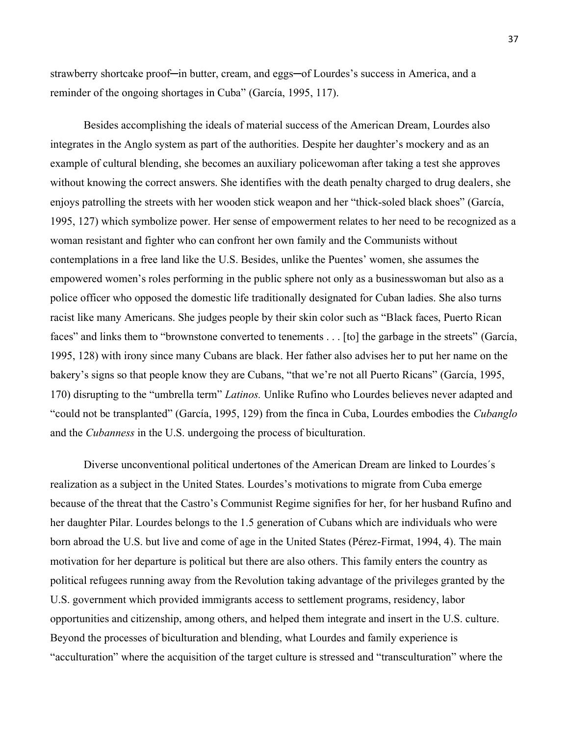strawberry shortcake proof—in butter, cream, and eggs—of Lourdes's success in America, and a reminder of the ongoing shortages in Cuba" (García, 1995, 117).

Besides accomplishing the ideals of material success of the American Dream, Lourdes also integrates in the Anglo system as part of the authorities. Despite her daughter's mockery and as an example of cultural blending, she becomes an auxiliary policewoman after taking a test she approves without knowing the correct answers. She identifies with the death penalty charged to drug dealers, she enjoys patrolling the streets with her wooden stick weapon and her "thick-soled black shoes" (García, 1995, 127) which symbolize power. Her sense of empowerment relates to her need to be recognized as a woman resistant and fighter who can confront her own family and the Communists without contemplations in a free land like the U.S. Besides, unlike the Puentes' women, she assumes the empowered women's roles performing in the public sphere not only as a businesswoman but also as a police officer who opposed the domestic life traditionally designated for Cuban ladies. She also turns racist like many Americans. She judges people by their skin color such as "Black faces, Puerto Rican faces" and links them to "brownstone converted to tenements . . . [to] the garbage in the streets" (García, 1995, 128) with irony since many Cubans are black. Her father also advises her to put her name on the bakery's signs so that people know they are Cubans, "that we're not all Puerto Ricans" (García, 1995, 170) disrupting to the "umbrella term" *Latinos.* Unlike Rufino who Lourdes believes never adapted and "could not be transplanted" (García, 1995, 129) from the finca in Cuba, Lourdes embodies the *Cubanglo*  and the *Cubanness* in the U.S. undergoing the process of biculturation.

Diverse unconventional political undertones of the American Dream are linked to Lourdes´s realization as a subject in the United States. Lourdes's motivations to migrate from Cuba emerge because of the threat that the Castro's Communist Regime signifies for her, for her husband Rufino and her daughter Pilar. Lourdes belongs to the 1.5 generation of Cubans which are individuals who were born abroad the U.S. but live and come of age in the United States (Pérez-Firmat, 1994, 4). The main motivation for her departure is political but there are also others. This family enters the country as political refugees running away from the Revolution taking advantage of the privileges granted by the U.S. government which provided immigrants access to settlement programs, residency, labor opportunities and citizenship, among others, and helped them integrate and insert in the U.S. culture. Beyond the processes of biculturation and blending, what Lourdes and family experience is "acculturation" where the acquisition of the target culture is stressed and "transculturation" where the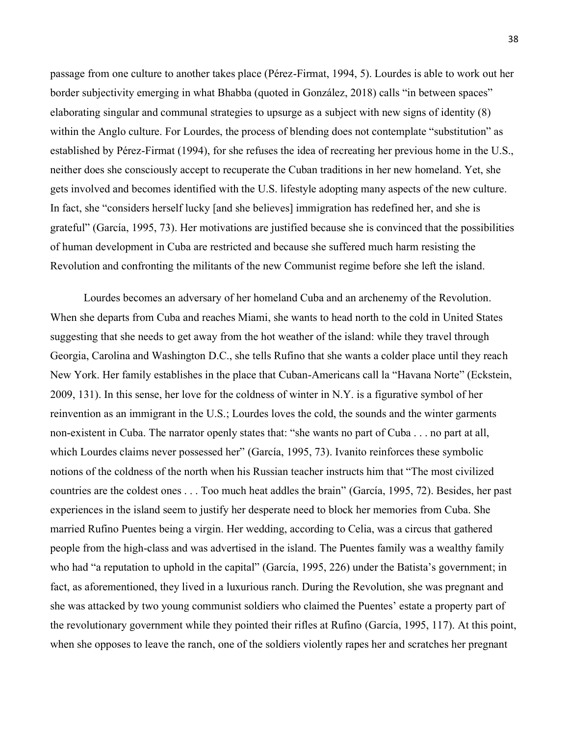passage from one culture to another takes place (Pérez-Firmat, 1994, 5). Lourdes is able to work out her border subjectivity emerging in what Bhabba (quoted in González, 2018) calls "in between spaces" elaborating singular and communal strategies to upsurge as a subject with new signs of identity (8) within the Anglo culture. For Lourdes, the process of blending does not contemplate "substitution" as established by Pérez-Firmat (1994), for she refuses the idea of recreating her previous home in the U.S., neither does she consciously accept to recuperate the Cuban traditions in her new homeland. Yet, she gets involved and becomes identified with the U.S. lifestyle adopting many aspects of the new culture. In fact, she "considers herself lucky [and she believes] immigration has redefined her, and she is grateful" (García, 1995, 73). Her motivations are justified because she is convinced that the possibilities of human development in Cuba are restricted and because she suffered much harm resisting the Revolution and confronting the militants of the new Communist regime before she left the island.

Lourdes becomes an adversary of her homeland Cuba and an archenemy of the Revolution. When she departs from Cuba and reaches Miami, she wants to head north to the cold in United States suggesting that she needs to get away from the hot weather of the island: while they travel through Georgia, Carolina and Washington D.C., she tells Rufino that she wants a colder place until they reach New York. Her family establishes in the place that Cuban-Americans call la "Havana Norte" (Eckstein, 2009, 131). In this sense, her love for the coldness of winter in N.Y. is a figurative symbol of her reinvention as an immigrant in the U.S.; Lourdes loves the cold, the sounds and the winter garments non-existent in Cuba. The narrator openly states that: "she wants no part of Cuba . . . no part at all, which Lourdes claims never possessed her" (García, 1995, 73). Ivanito reinforces these symbolic notions of the coldness of the north when his Russian teacher instructs him that "The most civilized countries are the coldest ones . . . Too much heat addles the brain" (García, 1995, 72). Besides, her past experiences in the island seem to justify her desperate need to block her memories from Cuba. She married Rufino Puentes being a virgin. Her wedding, according to Celia, was a circus that gathered people from the high-class and was advertised in the island. The Puentes family was a wealthy family who had "a reputation to uphold in the capital" (García, 1995, 226) under the Batista's government; in fact, as aforementioned, they lived in a luxurious ranch. During the Revolution, she was pregnant and she was attacked by two young communist soldiers who claimed the Puentes' estate a property part of the revolutionary government while they pointed their rifles at Rufino (García, 1995, 117). At this point, when she opposes to leave the ranch, one of the soldiers violently rapes her and scratches her pregnant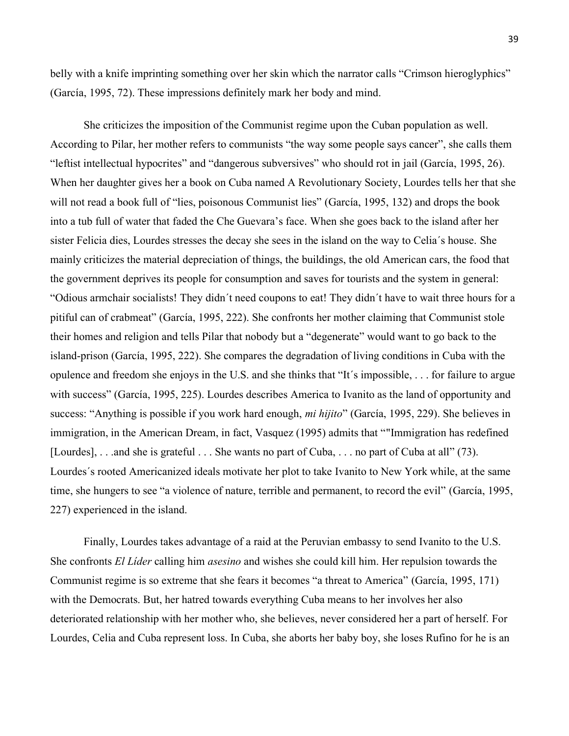belly with a knife imprinting something over her skin which the narrator calls "Crimson hieroglyphics" (García, 1995, 72). These impressions definitely mark her body and mind.

She criticizes the imposition of the Communist regime upon the Cuban population as well. According to Pilar, her mother refers to communists "the way some people says cancer", she calls them "leftist intellectual hypocrites" and "dangerous subversives" who should rot in jail (García, 1995, 26). When her daughter gives her a book on Cuba named A Revolutionary Society, Lourdes tells her that she will not read a book full of "lies, poisonous Communist lies" (García, 1995, 132) and drops the book into a tub full of water that faded the Che Guevara's face. When she goes back to the island after her sister Felicia dies, Lourdes stresses the decay she sees in the island on the way to Celia´s house. She mainly criticizes the material depreciation of things, the buildings, the old American cars, the food that the government deprives its people for consumption and saves for tourists and the system in general: "Odious armchair socialists! They didn´t need coupons to eat! They didn´t have to wait three hours for a pitiful can of crabmeat" (García, 1995, 222). She confronts her mother claiming that Communist stole their homes and religion and tells Pilar that nobody but a "degenerate" would want to go back to the island-prison (García, 1995, 222). She compares the degradation of living conditions in Cuba with the opulence and freedom she enjoys in the U.S. and she thinks that "It´s impossible, . . . for failure to argue with success" (García, 1995, 225). Lourdes describes America to Ivanito as the land of opportunity and success: "Anything is possible if you work hard enough, *mi hijito*" (García, 1995, 229). She believes in immigration, in the American Dream, in fact, Vasquez (1995) admits that ""Immigration has redefined [Lourdes], . . .and she is grateful . . . She wants no part of Cuba, . . . no part of Cuba at all" (73). Lourdes´s rooted Americanized ideals motivate her plot to take Ivanito to New York while, at the same time, she hungers to see "a violence of nature, terrible and permanent, to record the evil" (García, 1995, 227) experienced in the island.

Finally, Lourdes takes advantage of a raid at the Peruvian embassy to send Ivanito to the U.S. She confronts *El Líder* calling him *asesino* and wishes she could kill him. Her repulsion towards the Communist regime is so extreme that she fears it becomes "a threat to America" (García, 1995, 171) with the Democrats. But, her hatred towards everything Cuba means to her involves her also deteriorated relationship with her mother who, she believes, never considered her a part of herself. For Lourdes, Celia and Cuba represent loss. In Cuba, she aborts her baby boy, she loses Rufino for he is an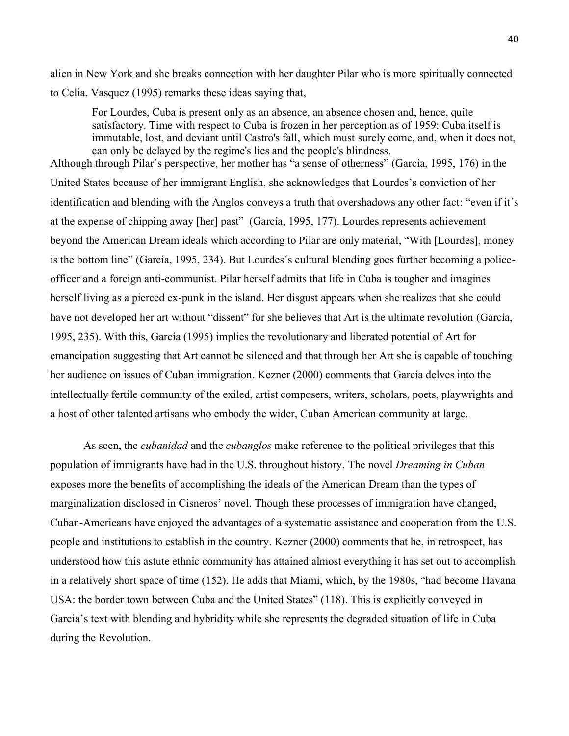alien in New York and she breaks connection with her daughter Pilar who is more spiritually connected to Celia. Vasquez (1995) remarks these ideas saying that,

 For Lourdes, Cuba is present only as an absence, an absence chosen and, hence, quite satisfactory. Time with respect to Cuba is frozen in her perception as of 1959: Cuba itself is immutable, lost, and deviant until Castro's fall, which must surely come, and, when it does not, can only be delayed by the regime's lies and the people's blindness.

Although through Pilar´s perspective, her mother has "a sense of otherness" (García, 1995, 176) in the United States because of her immigrant English, she acknowledges that Lourdes's conviction of her identification and blending with the Anglos conveys a truth that overshadows any other fact: "even if it´s at the expense of chipping away [her] past" (García, 1995, 177). Lourdes represents achievement beyond the American Dream ideals which according to Pilar are only material, "With [Lourdes], money is the bottom line" (García, 1995, 234). But Lourdes´s cultural blending goes further becoming a policeofficer and a foreign anti-communist. Pilar herself admits that life in Cuba is tougher and imagines herself living as a pierced ex-punk in the island. Her disgust appears when she realizes that she could have not developed her art without "dissent" for she believes that Art is the ultimate revolution (García, 1995, 235). With this, García (1995) implies the revolutionary and liberated potential of Art for emancipation suggesting that Art cannot be silenced and that through her Art she is capable of touching her audience on issues of Cuban immigration. Kezner (2000) comments that García delves into the intellectually fertile community of the exiled, artist composers, writers, scholars, poets, playwrights and a host of other talented artisans who embody the wider, Cuban American community at large.

As seen, the *cubanidad* and the *cubanglos* make reference to the political privileges that this population of immigrants have had in the U.S. throughout history. The novel *Dreaming in Cuban* exposes more the benefits of accomplishing the ideals of the American Dream than the types of marginalization disclosed in Cisneros' novel. Though these processes of immigration have changed, Cuban-Americans have enjoyed the advantages of a systematic assistance and cooperation from the U.S. people and institutions to establish in the country. Kezner (2000) comments that he, in retrospect, has understood how this astute ethnic community has attained almost everything it has set out to accomplish in a relatively short space of time (152). He adds that Miami, which, by the 1980s, "had become Havana USA: the border town between Cuba and the United States" (118). This is explicitly conveyed in Garcia's text with blending and hybridity while she represents the degraded situation of life in Cuba during the Revolution.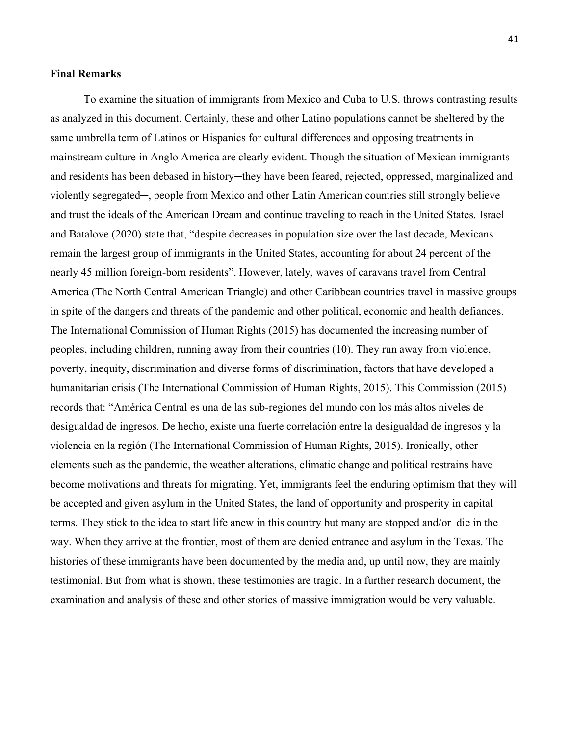#### **Final Remarks**

To examine the situation of immigrants from Mexico and Cuba to U.S. throws contrasting results as analyzed in this document. Certainly, these and other Latino populations cannot be sheltered by the same umbrella term of Latinos or Hispanics for cultural differences and opposing treatments in mainstream culture in Anglo America are clearly evident. Though the situation of Mexican immigrants and residents has been debased in history-they have been feared, rejected, oppressed, marginalized and violently segregated─, people from Mexico and other Latin American countries still strongly believe and trust the ideals of the American Dream and continue traveling to reach in the United States. Israel and Batalove (2020) state that, "despite decreases in population size over the last decade, Mexicans remain the largest group of immigrants in the United States, accounting for about 24 percent of the nearly 45 million foreign-born residents". However, lately, waves of caravans travel from Central America (The North Central American Triangle) and other Caribbean countries travel in massive groups in spite of the dangers and threats of the pandemic and other political, economic and health defiances. The International Commission of Human Rights (2015) has documented the increasing number of peoples, including children, running away from their countries (10). They run away from violence, poverty, inequity, discrimination and diverse forms of discrimination, factors that have developed a humanitarian crisis (The International Commission of Human Rights, 2015). This Commission (2015) records that: "América Central es una de las sub-regiones del mundo con los más altos niveles de desigualdad de ingresos. De hecho, existe una fuerte correlación entre la desigualdad de ingresos y la violencia en la región (The International Commission of Human Rights, 2015). Ironically, other elements such as the pandemic, the weather alterations, climatic change and political restrains have become motivations and threats for migrating. Yet, immigrants feel the enduring optimism that they will be accepted and given asylum in the United States, the land of opportunity and prosperity in capital terms. They stick to the idea to start life anew in this country but many are stopped and/or die in the way. When they arrive at the frontier, most of them are denied entrance and asylum in the Texas. The histories of these immigrants have been documented by the media and, up until now, they are mainly testimonial. But from what is shown, these testimonies are tragic. In a further research document, the examination and analysis of these and other stories of massive immigration would be very valuable.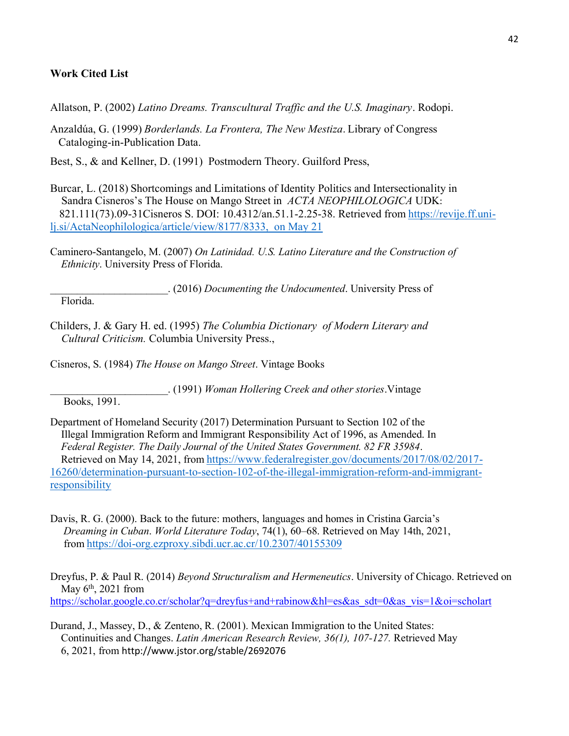#### **Work Cited List**

Allatson, P. (2002) *Latino Dreams. Transcultural Traffic and the U.S. Imaginary*. Rodopi.

Anzaldúa, G. (1999) *Borderlands. La Frontera, The New Mestiza*. Library of Congress Cataloging-in-Publication Data.

Best, S., & and Kellner, D. (1991) Postmodern Theory. Guilford Press,

- Burcar, L. (2018) Shortcomings and Limitations of Identity Politics and Intersectionality in Sandra Cisneros's The House on Mango Street in *ACTA NEOPHILOLOGICA* UDK: 821.111(73).09-31Cisneros S. DOI: 10.4312/an.51.1-2.25-38. Retrieved from [https://revije.ff.uni](https://revije.ff.uni-lj.si/ActaNeophilologica/article/view/8177/8333,%20%20on%20May%2021)[lj.si/ActaNeophilologica/article/view/8177/8333, on May 21](https://revije.ff.uni-lj.si/ActaNeophilologica/article/view/8177/8333,%20%20on%20May%2021)
- Caminero-Santangelo, M. (2007) *On Latinidad. U.S. Latino Literature and the Construction of Ethnicity*. University Press of Florida.

\_\_\_\_\_\_\_\_\_\_\_\_\_\_\_\_\_\_\_\_\_\_. (2016) *Documenting the Undocumented*. University Press of Florida.

Childers, J. & Gary H. ed. (1995) *The Columbia Dictionary of Modern Literary and Cultural Criticism.* Columbia University Press.,

Cisneros, S. (1984) *The House on Mango Street*. Vintage Books

\_\_\_\_\_\_\_\_\_\_\_\_\_\_\_\_\_\_\_\_\_\_. (1991) *Woman Hollering Creek and other stories*.Vintage

Books, 1991.

- Department of Homeland Security (2017) Determination Pursuant to Section 102 of the Illegal Immigration Reform and Immigrant Responsibility Act of 1996, as Amended. In *Federal Register. The Daily Journal of the United States Government. 82 FR 35984*. Retrieved on May 14, 2021, from [https://www.federalregister.gov/documents/2017/08/02/2017-](https://www.federalregister.gov/documents/2017/08/02/2017-16260/determination-pursuant-to-section-102-of-the-illegal-immigration-reform-and-immigrant-responsibility) [16260/determination-pursuant-to-section-102-of-the-illegal-immigration-reform-and-immigrant](https://www.federalregister.gov/documents/2017/08/02/2017-16260/determination-pursuant-to-section-102-of-the-illegal-immigration-reform-and-immigrant-responsibility)[responsibility](https://www.federalregister.gov/documents/2017/08/02/2017-16260/determination-pursuant-to-section-102-of-the-illegal-immigration-reform-and-immigrant-responsibility)
- Davis, R. G. (2000). Back to the future: mothers, languages and homes in Cristina Garcia's *Dreaming in Cuban*. *World Literature Today*, 74(1), 60–68. Retrieved on May 14th, 2021, from <https://doi-org.ezproxy.sibdi.ucr.ac.cr/10.2307/40155309>

Dreyfus, P. & Paul R. (2014) *Beyond Structuralism and Hermeneutics*. University of Chicago. Retrieved on May  $6<sup>th</sup>$ , 2021 from [https://scholar.google.co.cr/scholar?q=dreyfus+and+rabinow&hl=es&as\\_sdt=0&as\\_vis=1&oi=scholart](https://scholar.google.co.cr/scholar?q=dreyfus+and+rabinow&hl=es&as_sdt=0&as_vis=1&oi=scholart)

Durand, J., Massey, D., & Zenteno, R. (2001). Mexican Immigration to the United States: Continuities and Changes. *Latin American Research Review, 36(1), 107-127.* Retrieved May 6, 2021, from <http://www.jstor.org/stable/2692076>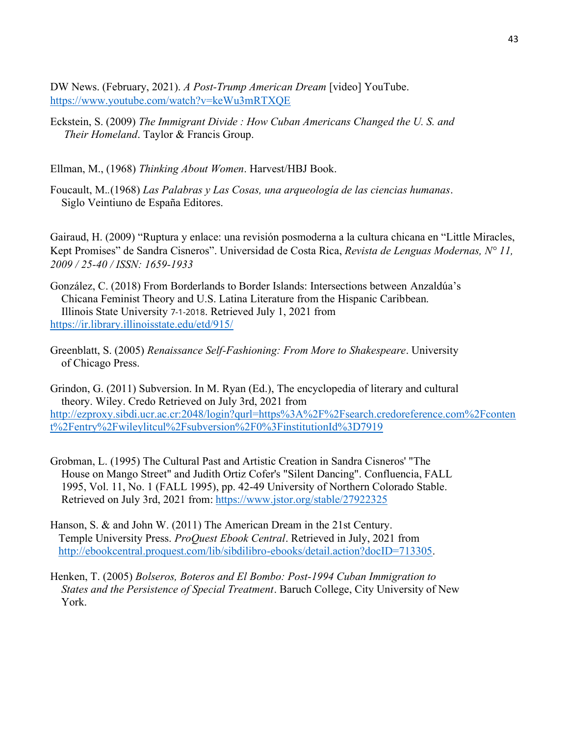DW News. (February, 2021). *A Post-Trump American Dream* [video] YouTube. <https://www.youtube.com/watch?v=keWu3mRTXQE>

Eckstein, S. (2009) *The Immigrant Divide : How Cuban Americans Changed the U. S. and Their Homeland*. Taylor & Francis Group.

Ellman, M., (1968) *Thinking About Women*. Harvest/HBJ Book.

Foucault, M.*.*(1968) *Las Palabras y Las Cosas, una arqueología de las ciencias humanas*. Siglo Veintiuno de España Editores.

Gairaud, H. (2009) "Ruptura y enlace: una revisión posmoderna a la cultura chicana en "Little Miracles, Kept Promises" de Sandra Cisneros". Universidad de Costa Rica, *Revista de Lenguas Modernas, N° 11, 2009 / 25-40 / ISSN: 1659-1933*

- González, C. (2018) From Borderlands to Border Islands: Intersections between Anzaldúa's Chicana Feminist Theory and U.S. Latina Literature from the Hispanic Caribbean. Illinois State University 7-1-2018. Retrieved July 1, 2021 from <https://ir.library.illinoisstate.edu/etd/915/>
- Greenblatt, S. (2005) *Renaissance Self-Fashioning: From More to Shakespeare*. University of Chicago Press.

Grindon, G. (2011) Subversion. In M. Ryan (Ed.), The encyclopedia of literary and cultural theory. Wiley. Credo Retrieved on July 3rd, 2021 from [http://ezproxy.sibdi.ucr.ac.cr:2048/login?qurl=https%3A%2F%2Fsearch.credoreference.com%2Fconten](http://ezproxy.sibdi.ucr.ac.cr:2048/login?qurl=https%3A%2F%2Fsearch.credoreference.com%2Fcontent%2Fentry%2Fwileylitcul%2Fsubversion%2F0%3FinstitutionId%3D7919) [t%2Fentry%2Fwileylitcul%2Fsubversion%2F0%3FinstitutionId%3D7919](http://ezproxy.sibdi.ucr.ac.cr:2048/login?qurl=https%3A%2F%2Fsearch.credoreference.com%2Fcontent%2Fentry%2Fwileylitcul%2Fsubversion%2F0%3FinstitutionId%3D7919)

- Grobman, L. (1995) The Cultural Past and Artistic Creation in Sandra Cisneros' "The House on Mango Street" and Judith Ortiz Cofer's "Silent Dancing". Confluencia, FALL 1995, Vol. 11, No. 1 (FALL 1995), pp. 42-49 University of Northern Colorado Stable. Retrieved on July 3rd, 2021 from: <https://www.jstor.org/stable/27922325>
- Hanson, S. & and John W. (2011) The American Dream in the 21st Century. Temple University Press. *ProQuest Ebook Central*. Retrieved in July, 2021 from [http://ebookcentral.proquest.com/lib/sibdilibro-ebooks/detail.action?docID=713305.](http://ebookcentral.proquest.com/lib/sibdilibro-ebooks/detail.action?docID=713305)
- Henken, T. (2005) *Bolseros, Boteros and El Bombo: Post-1994 Cuban Immigration to States and the Persistence of Special Treatment*. Baruch College, City University of New York.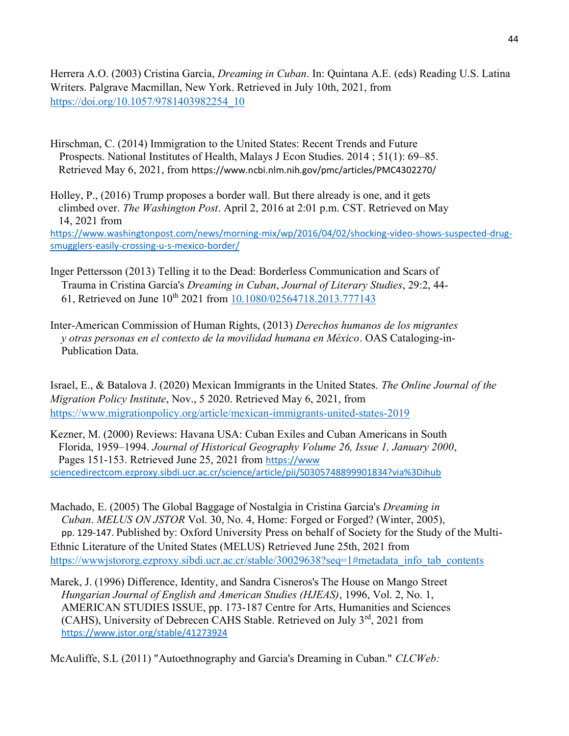Herrera A.O. (2003) Cristina García, *Dreaming in Cuban*. In: Quintana A.E. (eds) Reading U.S. Latina Writers. Palgrave Macmillan, New York. Retrieved in July 10th, 2021, from [https://doi.org/10.1057/9781403982254\\_10](https://doi.org/10.1057/9781403982254_10)

Hirschman, C. (2014) Immigration to the United States: Recent Trends and Future Prospects. National Institutes of Health, Malays J Econ Studies. 2014 ; 51(1): 69–85. Retrieved May 6, 2021, from <https://www.ncbi.nlm.nih.gov/pmc/articles/PMC4302270/>

Holley, P., (2016) Trump proposes a border wall. But there already is one, and it gets climbed over. *The Washington Post*. April 2, 2016 at 2:01 p.m. CST. Retrieved on May 14, 2021 from [https://www.washingtonpost.com/news/morning-mix/wp/2016/04/02/shocking-video-shows-suspected-drug](https://www.washingtonpost.com/news/morning-mix/wp/2016/04/02/shocking-video-shows-suspected-drug-smugglers-easily-crossing-u-s-mexico-border/)[smugglers-easily-crossing-u-s-mexico-border/](https://www.washingtonpost.com/news/morning-mix/wp/2016/04/02/shocking-video-shows-suspected-drug-smugglers-easily-crossing-u-s-mexico-border/)

- Inger Pettersson (2013) Telling it to the Dead: Borderless Communication and Scars of Trauma in Cristina García's *Dreaming in Cuban*, *Journal of Literary Studies*, 29:2, 44- 61, Retrieved on June 10th 2021 from [10.1080/02564718.2013.777143](https://doi.org/10.1080/02564718.2013.777143)
- Inter-American Commission of Human Rights, (2013) *Derechos humanos de los migrantes y otras personas en el contexto de la movilidad humana en México*. OAS Cataloging-in- Publication Data.

Israel, E., & Batalova J. (2020) Mexican Immigrants in the United States. *The Online Journal of the Migration Policy Institute*, Nov., 5 2020. Retrieved May 6, 2021, from <https://www.migrationpolicy.org/article/mexican-immigrants-united-states-2019>

Kezner, M. (2000) Reviews: Havana USA: Cuban Exiles and Cuban Americans in South Florida, 1959–1994. *Journal of Historical Geography Volume 26, Issue 1, January 2000*, Pages 151-153. Retrieved June 25, 2021 from https://www sciencedirectcom.ezproxy.sibdi.ucr.ac.cr/science/article/pii/S0305748899901834?via%3Dihub

Machado, E. (2005) The Global Baggage of Nostalgia in Cristina Garcia's *Dreaming in Cuban*. *MELUS ON JSTOR* Vol. 30, No. 4, Home: Forged or Forged? (Winter, 2005), pp. 129-147. Published by: [Oxford University Press](https://www-jstor-org.ezproxy.sibdi.ucr.ac.cr/publisher/oup) on behalf of [Society for the Study of the Multi-](https://www-jstor-org.ezproxy.sibdi.ucr.ac.cr/publisher/melus)[Ethnic Literature of the United States \(MELUS\)](https://www-jstor-org.ezproxy.sibdi.ucr.ac.cr/publisher/melus) Retrieved June 25th, 2021 from [https://wwwjstororg.ezproxy.sibdi.ucr.ac.cr/stable/30029638?seq=1#metadata\\_info\\_tab\\_contents](https://wwwjstororg.ezproxy.sibdi.ucr.ac.cr/stable/30029638?seq=1#metadata_info_tab_contents)

Marek, J. (1996) Difference, Identity, and Sandra Cisneros's The House on Mango Street *Hungarian Journal of English and American Studies (HJEAS)*, 1996, Vol. 2, No. 1, AMERICAN STUDIES ISSUE, pp. 173-187 Centre for Arts, Humanities and Sciences (CAHS), University of Debrecen CAHS Stable. Retrieved on July  $3<sup>rd</sup>$ , 2021 from <https://www.jstor.org/stable/41273924>

McAuliffe, S.L (2011) "Autoethnography and Garcia's Dreaming in Cuban." *CLCWeb:*